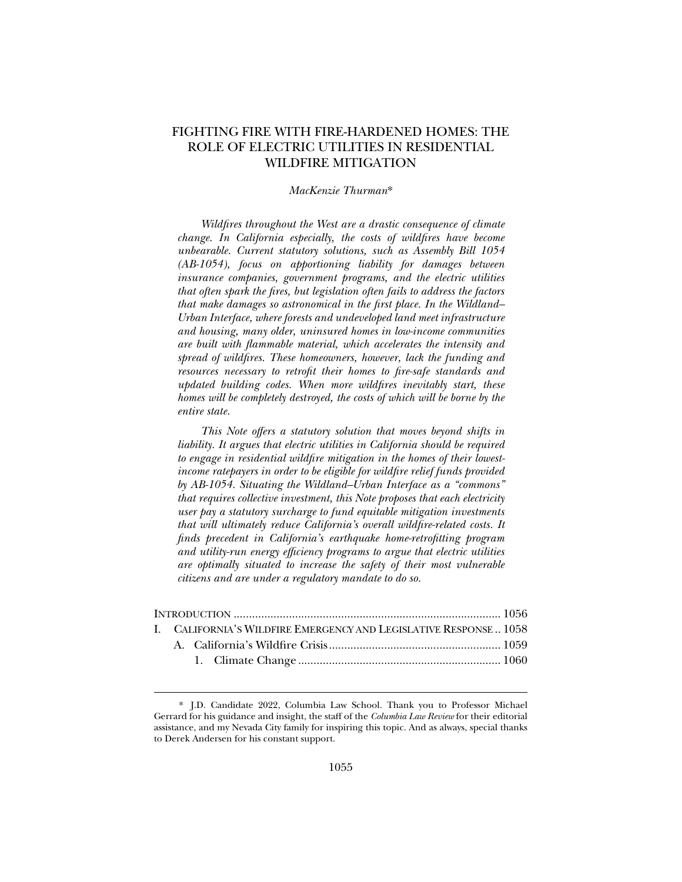# FIGHTING FIRE WITH FIRE-HARDENED HOMES: THE ROLE OF ELECTRIC UTILITIES IN RESIDENTIAL WILDFIRE MITIGATION

#### *MacKenzie Thurman*\*

*Wildfires throughout the West are a drastic consequence of climate change. In California especially, the costs of wildfires have become unbearable. Current statutory solutions, such as Assembly Bill 1054 (AB-1054), focus on apportioning liability for damages between insurance companies, government programs, and the electric utilities that often spark the fires, but legislation often fails to address the factors that make damages so astronomical in the first place. In the Wildland– Urban Interface, where forests and undeveloped land meet infrastructure and housing, many older, uninsured homes in low-income communities are built with flammable material, which accelerates the intensity and spread of wildfires. These homeowners, however, lack the funding and resources necessary to retrofit their homes to fire-safe standards and updated building codes. When more wildfires inevitably start, these homes will be completely destroyed, the costs of which will be borne by the entire state.* 

*This Note offers a statutory solution that moves beyond shifts in liability. It argues that electric utilities in California should be required to engage in residential wildfire mitigation in the homes of their lowestincome ratepayers in order to be eligible for wildfire relief funds provided by AB-1054. Situating the Wildland–Urban Interface as a "commons" that requires collective investment, this Note proposes that each electricity user pay a statutory surcharge to fund equitable mitigation investments that will ultimately reduce California's overall wildfire-related costs. It finds precedent in California's earthquake home-retrofitting program and utility-run energy efficiency programs to argue that electric utilities are optimally situated to increase the safety of their most vulnerable citizens and are under a regulatory mandate to do so.* 

|  | I. CALIFORNIA'S WILDFIRE EMERGENCY AND LEGISLATIVE RESPONSE 1058 |  |
|--|------------------------------------------------------------------|--|
|  |                                                                  |  |
|  |                                                                  |  |

<sup>\*.</sup> J.D. Candidate 2022, Columbia Law School. Thank you to Professor Michael Gerrard for his guidance and insight, the staff of the *Columbia Law Review* for their editorial assistance, and my Nevada City family for inspiring this topic. And as always, special thanks to Derek Andersen for his constant support.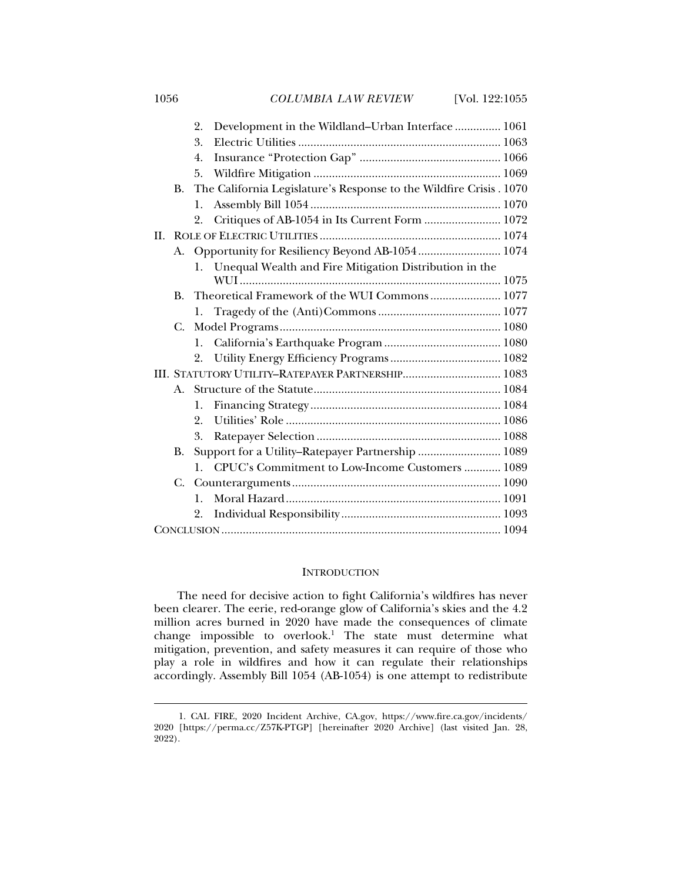1056 *COLUMBIA LAW REVIEW* [Vol. 122:1055

|                                                   |                                                   | 2.             | Development in the Wildland-Urban Interface  1061                   |  |  |
|---------------------------------------------------|---------------------------------------------------|----------------|---------------------------------------------------------------------|--|--|
|                                                   |                                                   | 3.             |                                                                     |  |  |
|                                                   |                                                   | 4.             |                                                                     |  |  |
|                                                   |                                                   | 5.             |                                                                     |  |  |
|                                                   | B.                                                |                | The California Legislature's Response to the Wildfire Crisis . 1070 |  |  |
|                                                   |                                                   | 1.             |                                                                     |  |  |
|                                                   |                                                   | 2.             | Critiques of AB-1054 in Its Current Form  1072                      |  |  |
| II.                                               |                                                   |                |                                                                     |  |  |
|                                                   | A. Opportunity for Resiliency Beyond AB-1054 1074 |                |                                                                     |  |  |
|                                                   |                                                   |                | 1. Unequal Wealth and Fire Mitigation Distribution in the           |  |  |
|                                                   |                                                   |                |                                                                     |  |  |
|                                                   |                                                   |                | B. Theoretical Framework of the WUI Commons 1077                    |  |  |
|                                                   |                                                   | 1.             |                                                                     |  |  |
|                                                   | C.                                                |                |                                                                     |  |  |
|                                                   |                                                   | 1.             |                                                                     |  |  |
|                                                   |                                                   | 2.             |                                                                     |  |  |
| III. STATUTORY UTILITY-RATEPAYER PARTNERSHIP 1083 |                                                   |                |                                                                     |  |  |
|                                                   |                                                   |                |                                                                     |  |  |
|                                                   |                                                   | 1.             |                                                                     |  |  |
|                                                   |                                                   | 2.             |                                                                     |  |  |
|                                                   |                                                   | 3.             |                                                                     |  |  |
|                                                   | В.                                                |                | Support for a Utility-Ratepayer Partnership  1089                   |  |  |
|                                                   |                                                   | $\mathbf{1}$ . | CPUC's Commitment to Low-Income Customers  1089                     |  |  |
|                                                   | C.                                                |                |                                                                     |  |  |
|                                                   |                                                   | $\mathbf{1}$ . |                                                                     |  |  |
|                                                   |                                                   | 2.             |                                                                     |  |  |
|                                                   |                                                   |                |                                                                     |  |  |

### **INTRODUCTION**

The need for decisive action to fight California's wildfires has never been clearer. The eerie, red-orange glow of California's skies and the 4.2 million acres burned in 2020 have made the consequences of climate change impossible to overlook.1 The state must determine what mitigation, prevention, and safety measures it can require of those who play a role in wildfires and how it can regulate their relationships accordingly. Assembly Bill 1054 (AB-1054) is one attempt to redistribute

 <sup>1.</sup> CAL FIRE, 2020 Incident Archive, CA.gov, https://www.fire.ca.gov/incidents/ 2020 [https://perma.cc/Z57K-PTGP] [hereinafter 2020 Archive] (last visited Jan. 28, 2022).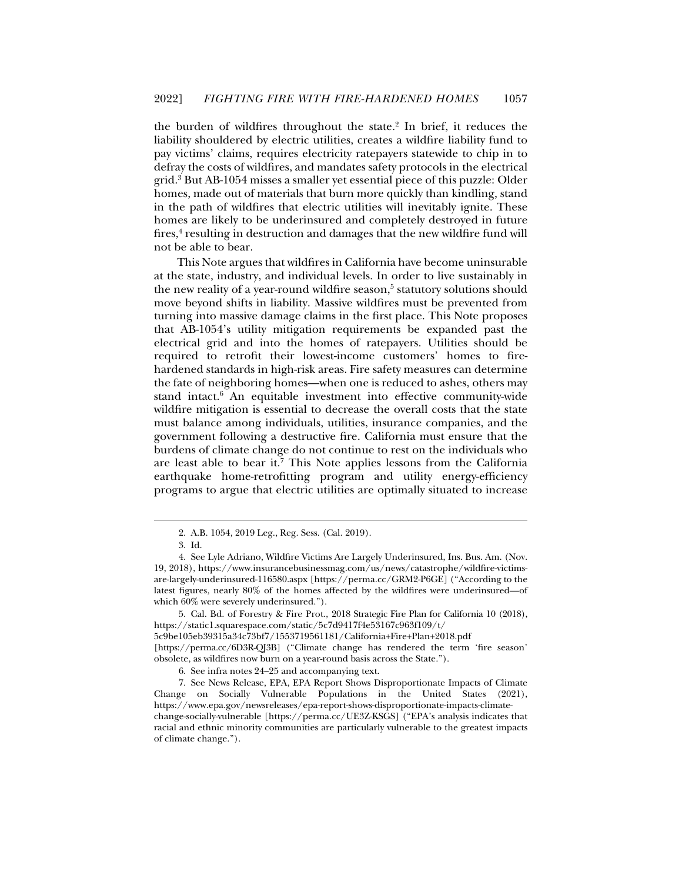the burden of wildfires throughout the state.<sup>2</sup> In brief, it reduces the liability shouldered by electric utilities, creates a wildfire liability fund to pay victims' claims, requires electricity ratepayers statewide to chip in to defray the costs of wildfires, and mandates safety protocols in the electrical grid.3 But AB-1054 misses a smaller yet essential piece of this puzzle: Older homes, made out of materials that burn more quickly than kindling, stand in the path of wildfires that electric utilities will inevitably ignite. These homes are likely to be underinsured and completely destroyed in future fires,<sup>4</sup> resulting in destruction and damages that the new wildfire fund will not be able to bear.

This Note argues that wildfires in California have become uninsurable at the state, industry, and individual levels. In order to live sustainably in the new reality of a year-round wildfire season,<sup>5</sup> statutory solutions should move beyond shifts in liability. Massive wildfires must be prevented from turning into massive damage claims in the first place. This Note proposes that AB-1054's utility mitigation requirements be expanded past the electrical grid and into the homes of ratepayers. Utilities should be required to retrofit their lowest-income customers' homes to firehardened standards in high-risk areas. Fire safety measures can determine the fate of neighboring homes—when one is reduced to ashes, others may stand intact.<sup>6</sup> An equitable investment into effective community-wide wildfire mitigation is essential to decrease the overall costs that the state must balance among individuals, utilities, insurance companies, and the government following a destructive fire. California must ensure that the burdens of climate change do not continue to rest on the individuals who are least able to bear it.<sup>7</sup> This Note applies lessons from the California earthquake home-retrofitting program and utility energy-efficiency programs to argue that electric utilities are optimally situated to increase

j

 5. Cal. Bd. of Forestry & Fire Prot., 2018 Strategic Fire Plan for California 10 (2018), https://static1.squarespace.com/static/5c7d9417f4e53167c963f109/t/ 5c9be105eb39315a34c73bf7/1553719561181/California+Fire+Plan+2018.pdf

[https://perma.cc/6D3R-QJ3B] ("Climate change has rendered the term 'fire season' obsolete, as wildfires now burn on a year-round basis across the State.").

 <sup>2.</sup> A.B. 1054, 2019 Leg., Reg. Sess. (Cal. 2019).

 <sup>3.</sup> Id.

 <sup>4.</sup> See Lyle Adriano, Wildfire Victims Are Largely Underinsured, Ins. Bus. Am. (Nov. 19, 2018), https://www.insurancebusinessmag.com/us/news/catastrophe/wildfire-victimsare-largely-underinsured-116580.aspx [https://perma.cc/GRM2-P6GE] ("According to the latest figures, nearly 80% of the homes affected by the wildfires were underinsured—of which 60% were severely underinsured.").

 <sup>6.</sup> See infra notes 24–25 and accompanying text.

 <sup>7.</sup> See News Release, EPA, EPA Report Shows Disproportionate Impacts of Climate Change on Socially Vulnerable Populations in the United States (2021), https://www.epa.gov/newsreleases/epa-report-shows-disproportionate-impacts-climatechange-socially-vulnerable [https://perma.cc/UE3Z-KSGS] ("EPA's analysis indicates that racial and ethnic minority communities are particularly vulnerable to the greatest impacts of climate change.").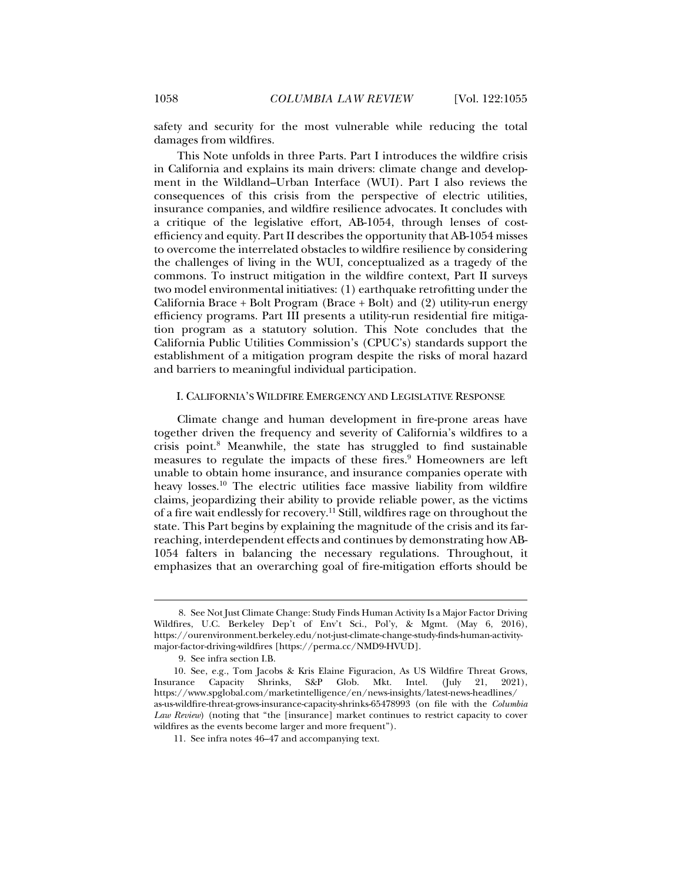safety and security for the most vulnerable while reducing the total damages from wildfires.

This Note unfolds in three Parts. Part I introduces the wildfire crisis in California and explains its main drivers: climate change and development in the Wildland–Urban Interface (WUI). Part I also reviews the consequences of this crisis from the perspective of electric utilities, insurance companies, and wildfire resilience advocates. It concludes with a critique of the legislative effort, AB-1054, through lenses of costefficiency and equity. Part II describes the opportunity that AB-1054 misses to overcome the interrelated obstacles to wildfire resilience by considering the challenges of living in the WUI, conceptualized as a tragedy of the commons. To instruct mitigation in the wildfire context, Part II surveys two model environmental initiatives: (1) earthquake retrofitting under the California Brace + Bolt Program (Brace + Bolt) and (2) utility-run energy efficiency programs. Part III presents a utility-run residential fire mitigation program as a statutory solution. This Note concludes that the California Public Utilities Commission's (CPUC's) standards support the establishment of a mitigation program despite the risks of moral hazard and barriers to meaningful individual participation.

### I. CALIFORNIA'S WILDFIRE EMERGENCY AND LEGISLATIVE RESPONSE

Climate change and human development in fire-prone areas have together driven the frequency and severity of California's wildfires to a crisis point.<sup>8</sup> Meanwhile, the state has struggled to find sustainable measures to regulate the impacts of these fires.<sup>9</sup> Homeowners are left unable to obtain home insurance, and insurance companies operate with heavy losses.10 The electric utilities face massive liability from wildfire claims, jeopardizing their ability to provide reliable power, as the victims of a fire wait endlessly for recovery.<sup>11</sup> Still, wildfires rage on throughout the state. This Part begins by explaining the magnitude of the crisis and its farreaching, interdependent effects and continues by demonstrating how AB-1054 falters in balancing the necessary regulations. Throughout, it emphasizes that an overarching goal of fire-mitigation efforts should be

 <sup>8.</sup> See Not Just Climate Change: Study Finds Human Activity Is a Major Factor Driving Wildfires, U.C. Berkeley Dep't of Env't Sci., Pol'y, & Mgmt. (May 6, 2016), https://ourenvironment.berkeley.edu/not-just-climate-change-study-finds-human-activitymajor-factor-driving-wildfires [https://perma.cc/NMD9-HVUD].

 <sup>9.</sup> See infra section I.B.

 <sup>10.</sup> See, e.g., Tom Jacobs & Kris Elaine Figuracion, As US Wildfire Threat Grows, Insurance Capacity Shrinks, S&P Glob. Mkt. Intel. (July 21, 2021), https://www.spglobal.com/marketintelligence/en/news-insights/latest-news-headlines/ as-us-wildfire-threat-grows-insurance-capacity-shrinks-65478993 (on file with the *Columbia Law Review*) (noting that "the [insurance] market continues to restrict capacity to cover wildfires as the events become larger and more frequent").

 <sup>11.</sup> See infra notes 46–47 and accompanying text.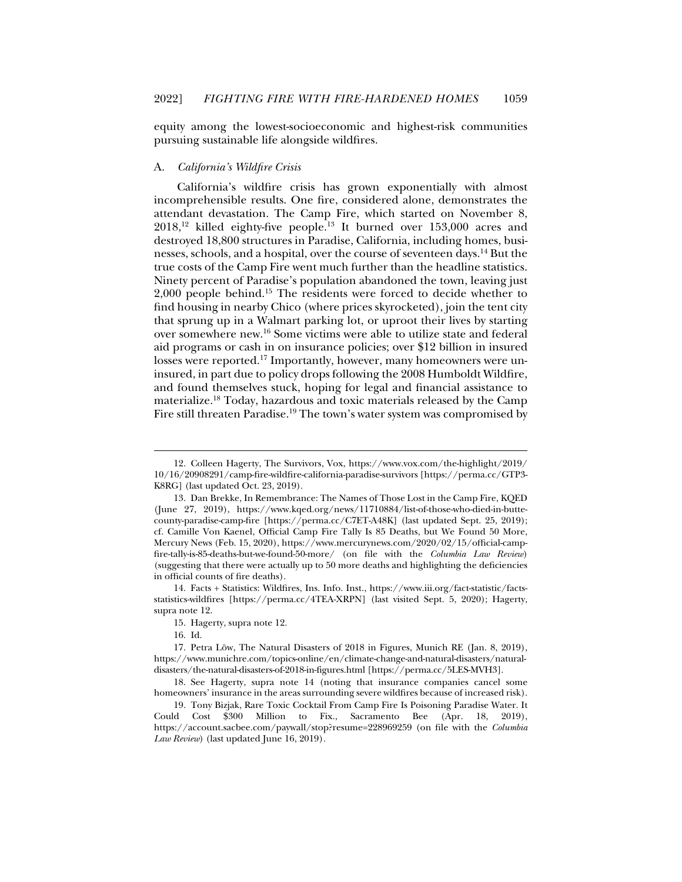equity among the lowest-socioeconomic and highest-risk communities pursuing sustainable life alongside wildfires.

#### A. *California's Wildfire Crisis*

California's wildfire crisis has grown exponentially with almost incomprehensible results. One fire, considered alone, demonstrates the attendant devastation. The Camp Fire, which started on November 8,  $2018$ ,<sup>12</sup> killed eighty-five people.<sup>13</sup> It burned over  $153,000$  acres and destroyed 18,800 structures in Paradise, California, including homes, businesses, schools, and a hospital, over the course of seventeen days.14 But the true costs of the Camp Fire went much further than the headline statistics. Ninety percent of Paradise's population abandoned the town, leaving just 2,000 people behind.15 The residents were forced to decide whether to find housing in nearby Chico (where prices skyrocketed), join the tent city that sprung up in a Walmart parking lot, or uproot their lives by starting over somewhere new.16 Some victims were able to utilize state and federal aid programs or cash in on insurance policies; over \$12 billion in insured losses were reported.<sup>17</sup> Importantly, however, many homeowners were uninsured, in part due to policy drops following the 2008 Humboldt Wildfire, and found themselves stuck, hoping for legal and financial assistance to materialize.18 Today, hazardous and toxic materials released by the Camp Fire still threaten Paradise.<sup>19</sup> The town's water system was compromised by

 <sup>12.</sup> Colleen Hagerty, The Survivors, Vox, https://www.vox.com/the-highlight/2019/ 10/16/20908291/camp-fire-wildfire-california-paradise-survivors [https://perma.cc/GTP3- K8RG] (last updated Oct. 23, 2019).

 <sup>13.</sup> Dan Brekke, In Remembrance: The Names of Those Lost in the Camp Fire, KQED (June 27, 2019), https://www.kqed.org/news/11710884/list-of-those-who-died-in-buttecounty-paradise-camp-fire [https://perma.cc/C7ET-A48K] (last updated Sept. 25, 2019); cf. Camille Von Kaenel, Official Camp Fire Tally Is 85 Deaths, but We Found 50 More, Mercury News (Feb. 15, 2020), https://www.mercurynews.com/2020/02/15/official-campfire-tally-is-85-deaths-but-we-found-50-more/ (on file with the *Columbia Law Review*) (suggesting that there were actually up to 50 more deaths and highlighting the deficiencies in official counts of fire deaths).

 <sup>14.</sup> Facts + Statistics: Wildfires, Ins. Info. Inst., https://www.iii.org/fact-statistic/factsstatistics-wildfires [https://perma.cc/4TEA-XRPN] (last visited Sept. 5, 2020); Hagerty, supra note 12.

 <sup>15.</sup> Hagerty, supra note 12.

 <sup>16.</sup> Id.

 <sup>17.</sup> Petra Löw, The Natural Disasters of 2018 in Figures, Munich RE (Jan. 8, 2019), https://www.munichre.com/topics-online/en/climate-change-and-natural-disasters/naturaldisasters/the-natural-disasters-of-2018-in-figures.html [https://perma.cc/5LES-MVH3].

 <sup>18.</sup> See Hagerty, supra note 14 (noting that insurance companies cancel some homeowners' insurance in the areas surrounding severe wildfires because of increased risk).

 <sup>19.</sup> Tony Bizjak, Rare Toxic Cocktail From Camp Fire Is Poisoning Paradise Water. It Could Cost \$300 Million to Fix., Sacramento Bee (Apr. 18, 2019), https://account.sacbee.com/paywall/stop?resume=228969259 (on file with the *Columbia Law Review*) (last updated June 16, 2019)*.*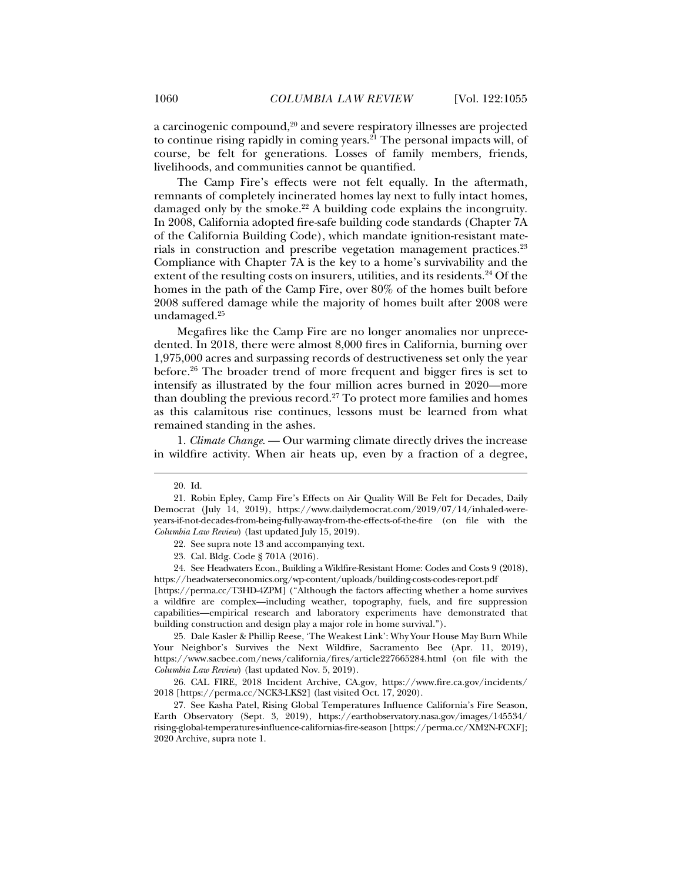a carcinogenic compound, $2^0$  and severe respiratory illnesses are projected to continue rising rapidly in coming years.<sup>21</sup> The personal impacts will, of course, be felt for generations. Losses of family members, friends, livelihoods, and communities cannot be quantified.

The Camp Fire's effects were not felt equally. In the aftermath, remnants of completely incinerated homes lay next to fully intact homes, damaged only by the smoke.<sup>22</sup> A building code explains the incongruity. In 2008, California adopted fire-safe building code standards (Chapter 7A of the California Building Code), which mandate ignition-resistant materials in construction and prescribe vegetation management practices.<sup>23</sup> Compliance with Chapter 7A is the key to a home's survivability and the extent of the resulting costs on insurers, utilities, and its residents.<sup>24</sup> Of the homes in the path of the Camp Fire, over 80% of the homes built before 2008 suffered damage while the majority of homes built after 2008 were undamaged.<sup>25</sup>

Megafires like the Camp Fire are no longer anomalies nor unprecedented. In 2018, there were almost 8,000 fires in California, burning over 1,975,000 acres and surpassing records of destructiveness set only the year before.26 The broader trend of more frequent and bigger fires is set to intensify as illustrated by the four million acres burned in 2020—more than doubling the previous record.<sup>27</sup> To protect more families and homes as this calamitous rise continues, lessons must be learned from what remained standing in the ashes.

1. *Climate Change*. — Our warming climate directly drives the increase in wildfire activity. When air heats up, even by a fraction of a degree,

j

 24. See Headwaters Econ., Building a Wildfire-Resistant Home: Codes and Costs 9 (2018), https://headwaterseconomics.org/wp-content/uploads/building-costs-codes-report.pdf

[https://perma.cc/T3HD-4ZPM] ("Although the factors affecting whether a home survives a wildfire are complex—including weather, topography, fuels, and fire suppression capabilities—empirical research and laboratory experiments have demonstrated that building construction and design play a major role in home survival.").

 25. Dale Kasler & Phillip Reese, 'The Weakest Link': Why Your House May Burn While Your Neighbor's Survives the Next Wildfire, Sacramento Bee (Apr. 11, 2019), https://www.sacbee.com/news/california/fires/article227665284.html (on file with the *Columbia Law Review*) (last updated Nov. 5, 2019)*.* 

 26. CAL FIRE, 2018 Incident Archive, CA.gov, https://www.fire.ca.gov/incidents/ 2018 [https://perma.cc/NCK3-LKS2] (last visited Oct. 17, 2020).

 27. See Kasha Patel, Rising Global Temperatures Influence California's Fire Season, Earth Observatory (Sept. 3, 2019), https://earthobservatory.nasa.gov/images/145534/ rising-global-temperatures-influence-californias-fire-season [https://perma.cc/XM2N-FCXF]; 2020 Archive, supra note 1.

 <sup>20.</sup> Id.

 <sup>21.</sup> Robin Epley, Camp Fire's Effects on Air Quality Will Be Felt for Decades, Daily Democrat (July 14, 2019), https://www.dailydemocrat.com/2019/07/14/inhaled-wereyears-if-not-decades-from-being-fully-away-from-the-effects-of-the-fire (on file with the *Columbia Law Review*) (last updated July 15, 2019).

 <sup>22.</sup> See supra note 13 and accompanying text.

 <sup>23.</sup> Cal. Bldg. Code § 701A (2016).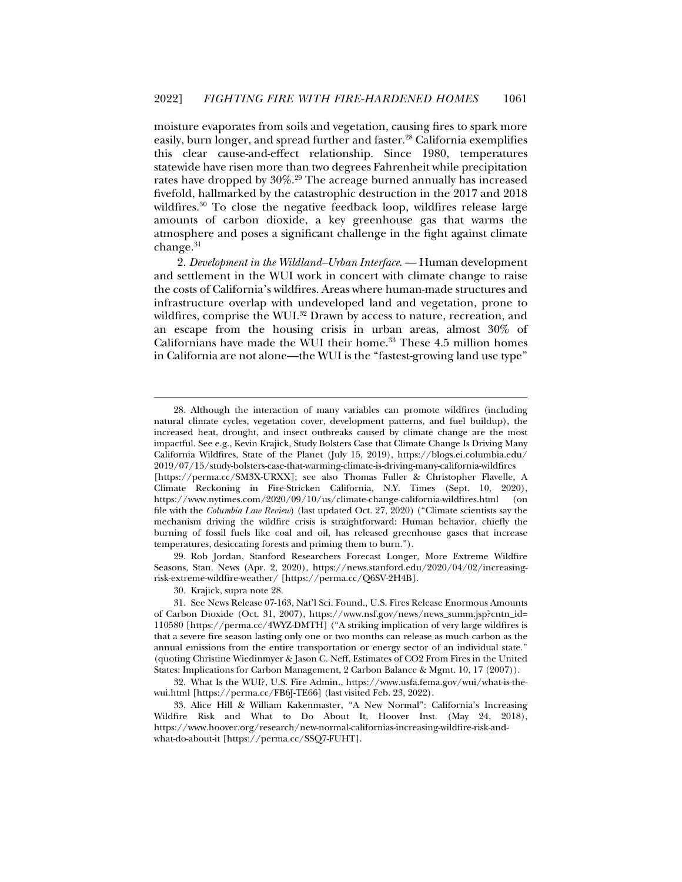moisture evaporates from soils and vegetation, causing fires to spark more easily, burn longer, and spread further and faster.<sup>28</sup> California exemplifies this clear cause-and-effect relationship. Since 1980, temperatures statewide have risen more than two degrees Fahrenheit while precipitation rates have dropped by 30%.29 The acreage burned annually has increased fivefold, hallmarked by the catastrophic destruction in the 2017 and 2018 wildfires.<sup>30</sup> To close the negative feedback loop, wildfires release large amounts of carbon dioxide, a key greenhouse gas that warms the atmosphere and poses a significant challenge in the fight against climate change.<sup>31</sup>

2. *Development in the Wildland–Urban Interface*. — Human development and settlement in the WUI work in concert with climate change to raise the costs of California's wildfires. Areas where human-made structures and infrastructure overlap with undeveloped land and vegetation, prone to wildfires, comprise the WUI.<sup>32</sup> Drawn by access to nature, recreation, and an escape from the housing crisis in urban areas, almost 30% of Californians have made the WUI their home.<sup>33</sup> These 4.5 million homes in California are not alone—the WUI is the "fastest-growing land use type"

 29. Rob Jordan, Stanford Researchers Forecast Longer, More Extreme Wildfire Seasons, Stan. News (Apr. 2, 2020), https://news.stanford.edu/2020/04/02/increasingrisk-extreme-wildfire-weather/ [https://perma.cc/Q6SV-2H4B].

 <sup>28.</sup> Although the interaction of many variables can promote wildfires (including natural climate cycles, vegetation cover, development patterns, and fuel buildup), the increased heat, drought, and insect outbreaks caused by climate change are the most impactful. See e.g., Kevin Krajick, Study Bolsters Case that Climate Change Is Driving Many California Wildfires, State of the Planet (July 15, 2019), https://blogs.ei.columbia.edu/ 2019/07/15/study-bolsters-case-that-warming-climate-is-driving-many-california-wildfires [https://perma.cc/SM3X-URXX]; see also Thomas Fuller & Christopher Flavelle, A Climate Reckoning in Fire-Stricken California, N.Y. Times (Sept. 10, 2020), https://www.nytimes.com/2020/09/10/us/climate-change-california-wildfires.html (on file with the *Columbia Law Review*) (last updated Oct. 27, 2020) ("Climate scientists say the mechanism driving the wildfire crisis is straightforward: Human behavior, chiefly the burning of fossil fuels like coal and oil, has released greenhouse gases that increase temperatures, desiccating forests and priming them to burn.").

 <sup>30.</sup> Krajick, supra note 28.

 <sup>31.</sup> See News Release 07-163, Nat'l Sci. Found., U.S. Fires Release Enormous Amounts of Carbon Dioxide (Oct. 31, 2007), https://www.nsf.gov/news/news\_summ.jsp?cntn\_id= 110580 [https://perma.cc/4WYZ-DMTH] ("A striking implication of very large wildfires is that a severe fire season lasting only one or two months can release as much carbon as the annual emissions from the entire transportation or energy sector of an individual state." (quoting Christine Wiedinmyer & Jason C. Neff, Estimates of CO2 From Fires in the United States: Implications for Carbon Management, 2 Carbon Balance & Mgmt. 10, 17 (2007)).

 <sup>32.</sup> What Is the WUI?, U.S. Fire Admin., https://www.usfa.fema.gov/wui/what-is-thewui.html [https://perma.cc/FB6J-TE66] (last visited Feb. 23, 2022).

 <sup>33.</sup> Alice Hill & William Kakenmaster, "A New Normal": California's Increasing Wildfire Risk and What to Do About It, Hoover Inst. (May 24, 2018), https://www.hoover.org/research/new-normal-californias-increasing-wildfire-risk-andwhat-do-about-it [https://perma.cc/SSQ7-FUHT].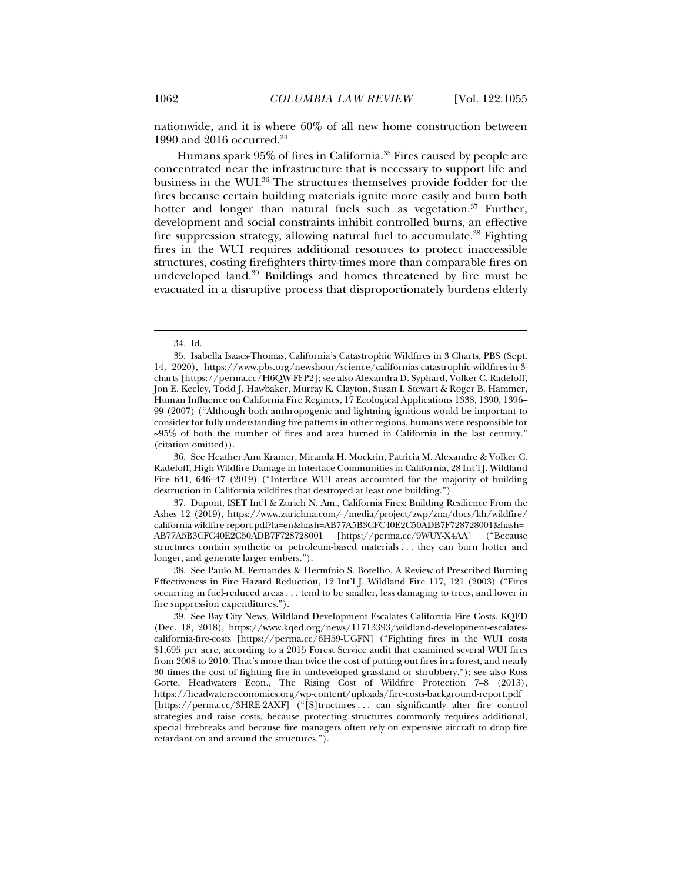nationwide, and it is where 60% of all new home construction between 1990 and 2016 occurred.34

Humans spark 95% of fires in California.35 Fires caused by people are concentrated near the infrastructure that is necessary to support life and business in the WUI.36 The structures themselves provide fodder for the fires because certain building materials ignite more easily and burn both hotter and longer than natural fuels such as vegetation.<sup>37</sup> Further, development and social constraints inhibit controlled burns, an effective fire suppression strategy, allowing natural fuel to accumulate.<sup>38</sup> Fighting fires in the WUI requires additional resources to protect inaccessible structures, costing firefighters thirty-times more than comparable fires on undeveloped land.<sup>39</sup> Buildings and homes threatened by fire must be evacuated in a disruptive process that disproportionately burdens elderly

j

 36. See Heather Anu Kramer, Miranda H. Mockrin, Patricia M. Alexandre & Volker C. Radeloff, High Wildfire Damage in Interface Communities in California, 28 Int'l J. Wildland Fire 641, 646–47 (2019) ("Interface WUI areas accounted for the majority of building destruction in California wildfires that destroyed at least one building.").

 38. See Paulo M. Fernandes & Hermínio S. Botelho, A Review of Prescribed Burning Effectiveness in Fire Hazard Reduction, 12 Int'l J. Wildland Fire 117, 121 (2003) ("Fires occurring in fuel-reduced areas . . . tend to be smaller, less damaging to trees, and lower in fire suppression expenditures.").

 <sup>34.</sup> Id.

 <sup>35.</sup> Isabella Isaacs-Thomas, California's Catastrophic Wildfires in 3 Charts, PBS (Sept. 14, 2020), https://www.pbs.org/newshour/science/californias-catastrophic-wildfires-in-3 charts [https://perma.cc/H6QW-FFP2]; see also Alexandra D. Syphard, Volker C. Radeloff, Jon E. Keeley, Todd J. Hawbaker, Murray K. Clayton, Susan I. Stewart & Roger B. Hammer, Human Influence on California Fire Regimes, 17 Ecological Applications 1338, 1390, 1396– 99 (2007) ("Although both anthropogenic and lightning ignitions would be important to consider for fully understanding fire patterns in other regions, humans were responsible for  $\sim$ 95% of both the number of fires and area burned in California in the last century." (citation omitted)).

 <sup>37.</sup> Dupont, ISET Int'l & Zurich N. Am., California Fires: Building Resilience From the Ashes 12 (2019), https://www.zurichna.com/-/media/project/zwp/zna/docs/kh/wildfire/ california-wildfire-report.pdf?la=en&hash=AB77A5B3CFC40E2C50ADB7F728728001&hash= AB77A5B3CFC40E2C50ADB7F728728001 [https://perma.cc/9WUY-X4AA] ("Because structures contain synthetic or petroleum-based materials . . . they can burn hotter and longer, and generate larger embers.").

 <sup>39.</sup> See Bay City News, Wildland Development Escalates California Fire Costs, KQED (Dec. 18, 2018), https://www.kqed.org/news/11713393/wildland-development-escalatescalifornia-fire-costs [https://perma.cc/6H59-UGFN] ("Fighting fires in the WUI costs \$1,695 per acre, according to a 2015 Forest Service audit that examined several WUI fires from 2008 to 2010. That's more than twice the cost of putting out fires in a forest, and nearly 30 times the cost of fighting fire in undeveloped grassland or shrubbery."); see also Ross Gorte, Headwaters Econ., The Rising Cost of Wildfire Protection 7–8 (2013), https://headwaterseconomics.org/wp-content/uploads/fire-costs-background-report.pdf [https://perma.cc/3HRE-2AXF] ("[S]tructures . . . can significantly alter fire control strategies and raise costs, because protecting structures commonly requires additional, special firebreaks and because fire managers often rely on expensive aircraft to drop fire retardant on and around the structures.").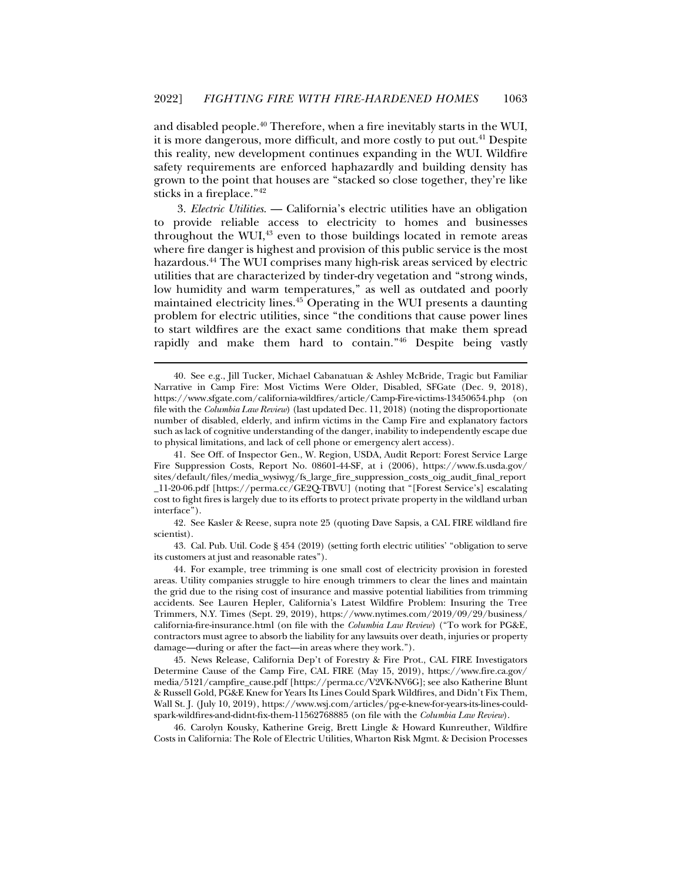and disabled people.40 Therefore, when a fire inevitably starts in the WUI, it is more dangerous, more difficult, and more costly to put out.<sup>41</sup> Despite this reality, new development continues expanding in the WUI. Wildfire safety requirements are enforced haphazardly and building density has grown to the point that houses are "stacked so close together, they're like sticks in a fireplace."42

3. *Electric Utilities*. — California's electric utilities have an obligation to provide reliable access to electricity to homes and businesses throughout the WUI, $43$  even to those buildings located in remote areas where fire danger is highest and provision of this public service is the most hazardous.44 The WUI comprises many high-risk areas serviced by electric utilities that are characterized by tinder-dry vegetation and "strong winds, low humidity and warm temperatures," as well as outdated and poorly maintained electricity lines.45 Operating in the WUI presents a daunting problem for electric utilities, since "the conditions that cause power lines to start wildfires are the exact same conditions that make them spread rapidly and make them hard to contain."<sup>46</sup> Despite being vastly

j

 45. News Release, California Dep't of Forestry & Fire Prot., CAL FIRE Investigators Determine Cause of the Camp Fire, CAL FIRE (May 15, 2019), https://www.fire.ca.gov/ media/5121/campfire\_cause.pdf [https://perma.cc/V2VK-NV6G]; see also Katherine Blunt & Russell Gold, PG&E Knew for Years Its Lines Could Spark Wildfires, and Didn't Fix Them, Wall St. J. (July 10, 2019), https://www.wsj.com/articles/pg-e-knew-for-years-its-lines-couldspark-wildfires-and-didnt-fix-them-11562768885 (on file with the *Columbia Law Review*).

 46. Carolyn Kousky, Katherine Greig, Brett Lingle & Howard Kunreuther, Wildfire Costs in California: The Role of Electric Utilities, Wharton Risk Mgmt. & Decision Processes

 <sup>40.</sup> See e.g., Jill Tucker, Michael Cabanatuan & Ashley McBride, Tragic but Familiar Narrative in Camp Fire: Most Victims Were Older, Disabled, SFGate (Dec. 9, 2018), https://www.sfgate.com/california-wildfires/article/Camp-Fire-victims-13450654.php (on file with the *Columbia Law Review*) (last updated Dec. 11, 2018) (noting the disproportionate number of disabled, elderly, and infirm victims in the Camp Fire and explanatory factors such as lack of cognitive understanding of the danger, inability to independently escape due to physical limitations, and lack of cell phone or emergency alert access).

 <sup>41.</sup> See Off. of Inspector Gen., W. Region, USDA, Audit Report: Forest Service Large Fire Suppression Costs, Report No. 08601-44-SF, at i (2006), https://www.fs.usda.gov/ sites/default/files/media\_wysiwyg/fs\_large\_fire\_suppression\_costs\_oig\_audit\_final\_report \_11-20-06.pdf [https://perma.cc/GE2Q-TBVU] (noting that "[Forest Service's] escalating cost to fight fires is largely due to its efforts to protect private property in the wildland urban interface").

 <sup>42.</sup> See Kasler & Reese, supra note 25 (quoting Dave Sapsis, a CAL FIRE wildland fire scientist).

 <sup>43.</sup> Cal. Pub. Util. Code § 454 (2019) (setting forth electric utilities' "obligation to serve its customers at just and reasonable rates").

 <sup>44.</sup> For example, tree trimming is one small cost of electricity provision in forested areas. Utility companies struggle to hire enough trimmers to clear the lines and maintain the grid due to the rising cost of insurance and massive potential liabilities from trimming accidents. See Lauren Hepler, California's Latest Wildfire Problem: Insuring the Tree Trimmers, N.Y. Times (Sept. 29, 2019), https://www.nytimes.com/2019/09/29/business/ california-fire-insurance.html (on file with the *Columbia Law Review*) ("To work for PG&E, contractors must agree to absorb the liability for any lawsuits over death, injuries or property damage—during or after the fact—in areas where they work.").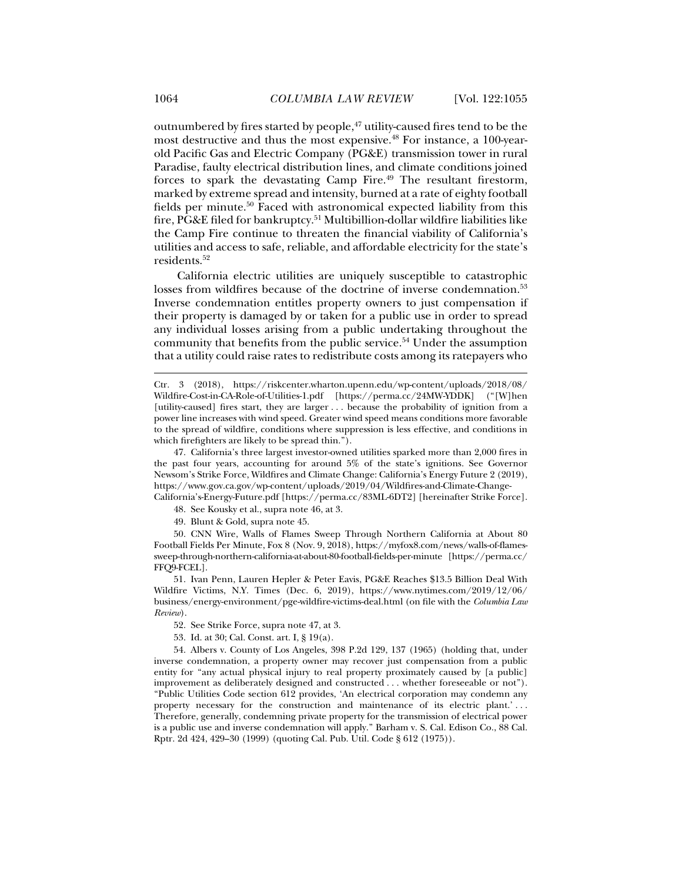outnumbered by fires started by people,<sup>47</sup> utility-caused fires tend to be the most destructive and thus the most expensive.<sup>48</sup> For instance, a 100-yearold Pacific Gas and Electric Company (PG&E) transmission tower in rural Paradise, faulty electrical distribution lines, and climate conditions joined forces to spark the devastating Camp Fire.<sup>49</sup> The resultant firestorm, marked by extreme spread and intensity, burned at a rate of eighty football fields per minute.<sup>50</sup> Faced with astronomical expected liability from this fire, PG&E filed for bankruptcy.51 Multibillion-dollar wildfire liabilities like the Camp Fire continue to threaten the financial viability of California's utilities and access to safe, reliable, and affordable electricity for the state's residents.52

California electric utilities are uniquely susceptible to catastrophic losses from wildfires because of the doctrine of inverse condemnation.<sup>53</sup> Inverse condemnation entitles property owners to just compensation if their property is damaged by or taken for a public use in order to spread any individual losses arising from a public undertaking throughout the community that benefits from the public service.<sup>54</sup> Under the assumption that a utility could raise rates to redistribute costs among its ratepayers who

California's-Energy-Future.pdf [https://perma.cc/83ML-6DT2] [hereinafter Strike Force]. 48. See Kousky et al., supra note 46, at 3.

49. Blunt & Gold, supra note 45.

 50. CNN Wire, Walls of Flames Sweep Through Northern California at About 80 Football Fields Per Minute, Fox 8 (Nov. 9, 2018), https://myfox8.com/news/walls-of-flamessweep-through-northern-california-at-about-80-football-fields-per-minute [https://perma.cc/ FFQ9-FCEL].

 51. Ivan Penn, Lauren Hepler & Peter Eavis, PG&E Reaches \$13.5 Billion Deal With Wildfire Victims, N.Y. Times (Dec. 6, 2019), https://www.nytimes.com/2019/12/06/ business/energy-environment/pge-wildfire-victims-deal.html (on file with the *Columbia Law Review*).

- 52. See Strike Force, supra note 47, at 3.
- 53. Id. at 30; Cal. Const. art. I, § 19(a).

 54. Albers v. County of Los Angeles, 398 P.2d 129, 137 (1965) (holding that, under inverse condemnation, a property owner may recover just compensation from a public entity for "any actual physical injury to real property proximately caused by [a public] improvement as deliberately designed and constructed . . . whether foreseeable or not"). "Public Utilities Code section 612 provides, 'An electrical corporation may condemn any property necessary for the construction and maintenance of its electric plant.' . . . Therefore, generally, condemning private property for the transmission of electrical power is a public use and inverse condemnation will apply." Barham v. S. Cal. Edison Co., 88 Cal. Rptr. 2d 424, 429–30 (1999) (quoting Cal. Pub. Util. Code § 612 (1975)).

Ctr. 3 (2018), https://riskcenter.wharton.upenn.edu/wp-content/uploads/2018/08/ Wildfire-Cost-in-CA-Role-of-Utilities-1.pdf [https://perma.cc/24MW-YDDK] ("[W]hen [utility-caused] fires start, they are larger . . . because the probability of ignition from a power line increases with wind speed. Greater wind speed means conditions more favorable to the spread of wildfire, conditions where suppression is less effective, and conditions in which firefighters are likely to be spread thin.").

 <sup>47.</sup> California's three largest investor-owned utilities sparked more than 2,000 fires in the past four years, accounting for around 5% of the state's ignitions. See Governor Newsom's Strike Force, Wildfires and Climate Change: California's Energy Future 2 (2019), https://www.gov.ca.gov/wp-content/uploads/2019/04/Wildfires-and-Climate-Change-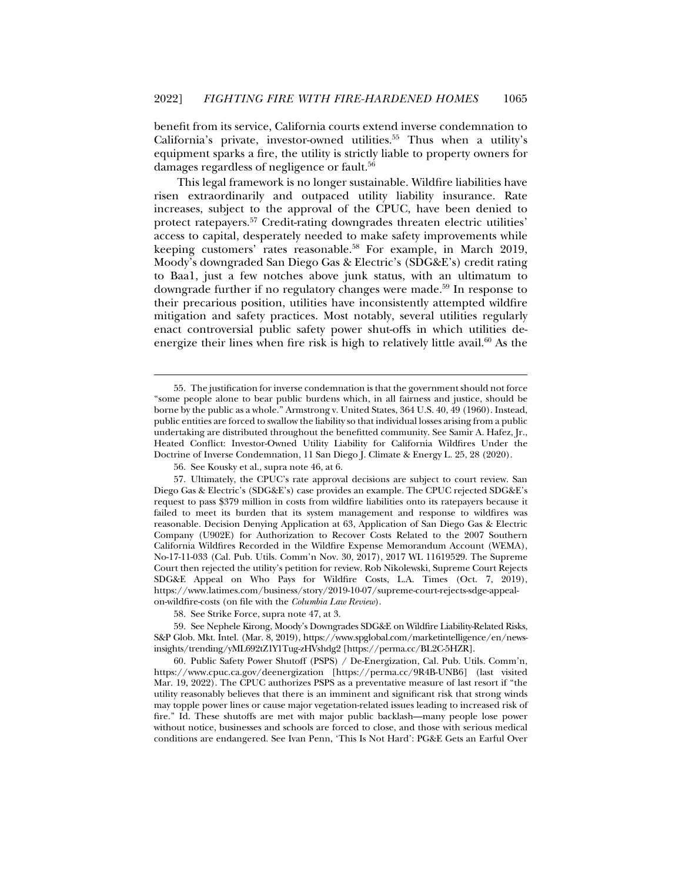benefit from its service, California courts extend inverse condemnation to California's private, investor-owned utilities.<sup>55</sup> Thus when a utility's equipment sparks a fire, the utility is strictly liable to property owners for damages regardless of negligence or fault.<sup>56</sup>

This legal framework is no longer sustainable. Wildfire liabilities have risen extraordinarily and outpaced utility liability insurance. Rate increases, subject to the approval of the CPUC, have been denied to protect ratepayers.57 Credit-rating downgrades threaten electric utilities' access to capital, desperately needed to make safety improvements while keeping customers' rates reasonable.<sup>58</sup> For example, in March 2019, Moody's downgraded San Diego Gas & Electric's (SDG&E's) credit rating to Baa1, just a few notches above junk status, with an ultimatum to downgrade further if no regulatory changes were made.<sup>59</sup> In response to their precarious position, utilities have inconsistently attempted wildfire mitigation and safety practices. Most notably, several utilities regularly enact controversial public safety power shut-offs in which utilities deenergize their lines when fire risk is high to relatively little avail. $60$  As the

 <sup>55.</sup> The justification for inverse condemnation is that the government should not force "some people alone to bear public burdens which, in all fairness and justice, should be borne by the public as a whole." Armstrong v. United States, 364 U.S. 40, 49 (1960). Instead, public entities are forced to swallow the liability so that individual losses arising from a public undertaking are distributed throughout the benefitted community. See Samir A. Hafez, Jr., Heated Conflict: Investor-Owned Utility Liability for California Wildfires Under the Doctrine of Inverse Condemnation, 11 San Diego J. Climate & Energy L. 25, 28 (2020).

 <sup>56.</sup> See Kousky et al., supra note 46, at 6.

 <sup>57.</sup> Ultimately, the CPUC's rate approval decisions are subject to court review. San Diego Gas & Electric's (SDG&E's) case provides an example. The CPUC rejected SDG&E's request to pass \$379 million in costs from wildfire liabilities onto its ratepayers because it failed to meet its burden that its system management and response to wildfires was reasonable. Decision Denying Application at 63, Application of San Diego Gas & Electric Company (U902E) for Authorization to Recover Costs Related to the 2007 Southern California Wildfires Recorded in the Wildfire Expense Memorandum Account (WEMA), No-17-11-033 (Cal. Pub. Utils. Comm'n Nov. 30, 2017), 2017 WL 11619529. The Supreme Court then rejected the utility's petition for review. Rob Nikolewski, Supreme Court Rejects SDG&E Appeal on Who Pays for Wildfire Costs, L.A. Times (Oct. 7, 2019), https://www.latimes.com/business/story/2019-10-07/supreme-court-rejects-sdge-appealon-wildfire-costs (on file with the *Columbia Law Review*).

 <sup>58.</sup> See Strike Force, supra note 47, at 3.

 <sup>59.</sup> See Nephele Kirong, Moody's Downgrades SDG&E on Wildfire Liability-Related Risks, S&P Glob. Mkt. Intel. (Mar. 8, 2019), https://www.spglobal.com/marketintelligence/en/newsinsights/trending/yML692tZ1Y1Tug-zHVshdg2 [https://perma.cc/BL2C-5HZR].

 <sup>60.</sup> Public Safety Power Shutoff (PSPS) / De-Energization, Cal. Pub. Utils. Comm'n, https://www.cpuc.ca.gov/deenergization [https://perma.cc/9R4B-UNB6] (last visited Mar. 19, 2022). The CPUC authorizes PSPS as a preventative measure of last resort if "the utility reasonably believes that there is an imminent and significant risk that strong winds may topple power lines or cause major vegetation-related issues leading to increased risk of fire." Id. These shutoffs are met with major public backlash—many people lose power without notice, businesses and schools are forced to close, and those with serious medical conditions are endangered. See Ivan Penn, 'This Is Not Hard': PG&E Gets an Earful Over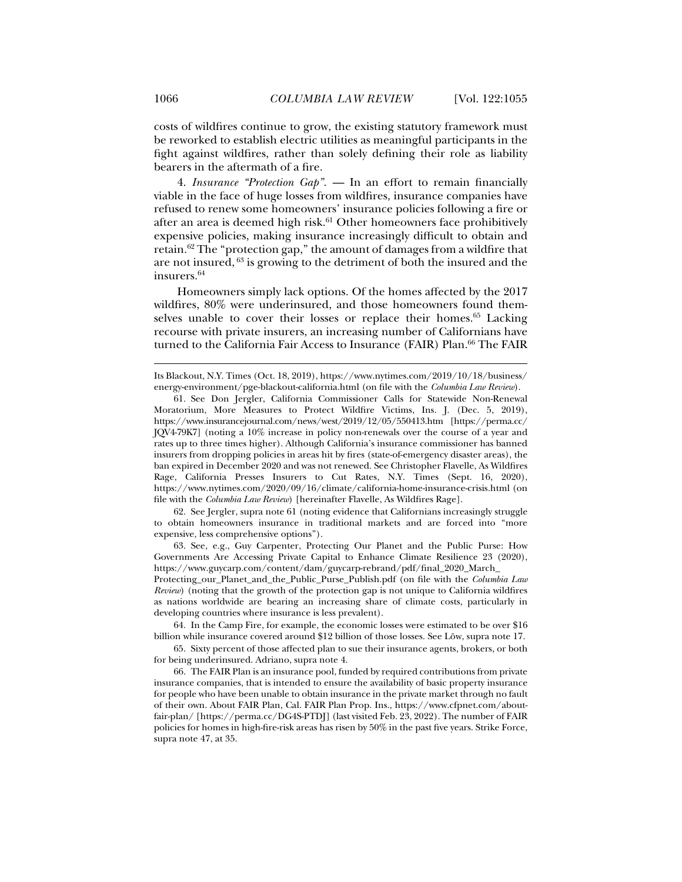costs of wildfires continue to grow, the existing statutory framework must be reworked to establish electric utilities as meaningful participants in the fight against wildfires, rather than solely defining their role as liability bearers in the aftermath of a fire.

4. *Insurance "Protection Gap"*. — In an effort to remain financially viable in the face of huge losses from wildfires, insurance companies have refused to renew some homeowners' insurance policies following a fire or after an area is deemed high risk.<sup>61</sup> Other homeowners face prohibitively expensive policies, making insurance increasingly difficult to obtain and retain.<sup>62</sup> The "protection gap," the amount of damages from a wildfire that are not insured, 63 is growing to the detriment of both the insured and the insurers.64

Homeowners simply lack options. Of the homes affected by the 2017 wildfires, 80% were underinsured, and those homeowners found themselves unable to cover their losses or replace their homes.<sup>65</sup> Lacking recourse with private insurers, an increasing number of Californians have turned to the California Fair Access to Insurance (FAIR) Plan.<sup>66</sup> The FAIR

 62. See Jergler, supra note 61 (noting evidence that Californians increasingly struggle to obtain homeowners insurance in traditional markets and are forced into "more expensive, less comprehensive options").

 63. See, e.g., Guy Carpenter, Protecting Our Planet and the Public Purse: How Governments Are Accessing Private Capital to Enhance Climate Resilience 23 (2020), https://www.guycarp.com/content/dam/guycarp-rebrand/pdf/final\_2020\_March\_

Protecting\_our\_Planet\_and\_the\_Public\_Purse\_Publish.pdf (on file with the *Columbia Law Review*) (noting that the growth of the protection gap is not unique to California wildfires as nations worldwide are bearing an increasing share of climate costs, particularly in developing countries where insurance is less prevalent).

 64. In the Camp Fire, for example, the economic losses were estimated to be over \$16 billion while insurance covered around \$12 billion of those losses. See Löw, supra note 17.

 65. Sixty percent of those affected plan to sue their insurance agents, brokers, or both for being underinsured. Adriano, supra note 4.

 66. The FAIR Plan is an insurance pool, funded by required contributions from private insurance companies, that is intended to ensure the availability of basic property insurance for people who have been unable to obtain insurance in the private market through no fault of their own. About FAIR Plan, Cal. FAIR Plan Prop. Ins., https://www.cfpnet.com/aboutfair-plan/ [https://perma.cc/DG4S-PTDJ] (last visited Feb. 23, 2022). The number of FAIR policies for homes in high-fire-risk areas has risen by 50% in the past five years. Strike Force, supra note 47, at 35.

Its Blackout, N.Y. Times (Oct. 18, 2019), https://www.nytimes.com/2019/10/18/business/ energy-environment/pge-blackout-california.html (on file with the *Columbia Law Review*).

 <sup>61.</sup> See Don Jergler, California Commissioner Calls for Statewide Non-Renewal Moratorium, More Measures to Protect Wildfire Victims, Ins. J. (Dec. 5, 2019), https://www.insurancejournal.com/news/west/2019/12/05/550413.htm [https://perma.cc/ JQV4-79K7] (noting a 10% increase in policy non-renewals over the course of a year and rates up to three times higher). Although California's insurance commissioner has banned insurers from dropping policies in areas hit by fires (state-of-emergency disaster areas), the ban expired in December 2020 and was not renewed. See Christopher Flavelle, As Wildfires Rage, California Presses Insurers to Cut Rates, N.Y. Times (Sept. 16, 2020), https://www.nytimes.com/2020/09/16/climate/california-home-insurance-crisis.html (on file with the *Columbia Law Review*) [hereinafter Flavelle, As Wildfires Rage].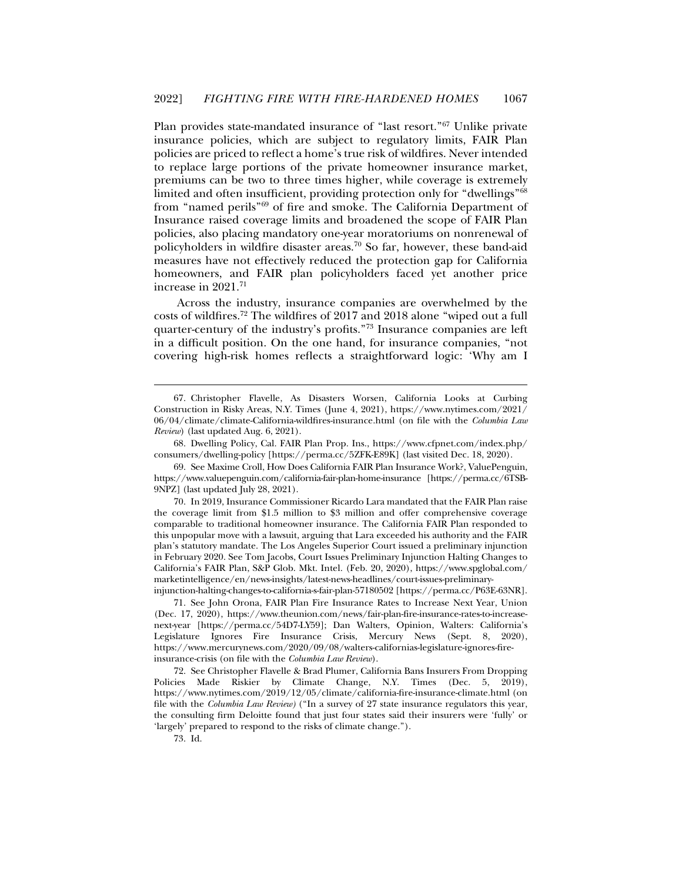Plan provides state-mandated insurance of "last resort."67 Unlike private insurance policies, which are subject to regulatory limits, FAIR Plan policies are priced to reflect a home's true risk of wildfires. Never intended to replace large portions of the private homeowner insurance market, premiums can be two to three times higher, while coverage is extremely limited and often insufficient, providing protection only for "dwellings"<sup>68</sup> from "named perils"69 of fire and smoke. The California Department of Insurance raised coverage limits and broadened the scope of FAIR Plan policies, also placing mandatory one-year moratoriums on nonrenewal of policyholders in wildfire disaster areas.<sup>70</sup> So far, however, these band-aid measures have not effectively reduced the protection gap for California homeowners, and FAIR plan policyholders faced yet another price increase in 2021.71

Across the industry, insurance companies are overwhelmed by the costs of wildfires.72 The wildfires of 2017 and 2018 alone "wiped out a full quarter-century of the industry's profits."73 Insurance companies are left in a difficult position. On the one hand, for insurance companies, "not covering high-risk homes reflects a straightforward logic: 'Why am I

 68. Dwelling Policy, Cal. FAIR Plan Prop. Ins., https://www.cfpnet.com/index.php/ consumers/dwelling-policy [https://perma.cc/5ZFK-E89K] (last visited Dec. 18, 2020).

 69. See Maxime Croll, How Does California FAIR Plan Insurance Work?, ValuePenguin, https://www.valuepenguin.com/california-fair-plan-home-insurance [https://perma.cc/6TSB-9NPZ] (last updated July 28, 2021).

 70. In 2019, Insurance Commissioner Ricardo Lara mandated that the FAIR Plan raise the coverage limit from \$1.5 million to \$3 million and offer comprehensive coverage comparable to traditional homeowner insurance. The California FAIR Plan responded to this unpopular move with a lawsuit, arguing that Lara exceeded his authority and the FAIR plan's statutory mandate. The Los Angeles Superior Court issued a preliminary injunction in February 2020. See Tom Jacobs, Court Issues Preliminary Injunction Halting Changes to California's FAIR Plan, S&P Glob. Mkt. Intel. (Feb. 20, 2020), https://www.spglobal.com/ marketintelligence/en/news-insights/latest-news-headlines/court-issues-preliminaryinjunction-halting-changes-to-california-s-fair-plan-57180502 [https://perma.cc/P63E-63NR].

 71. See John Orona, FAIR Plan Fire Insurance Rates to Increase Next Year, Union (Dec. 17, 2020), https://www.theunion.com/news/fair-plan-fire-insurance-rates-to-increasenext-year [https://perma.cc/54D7-LY59]; Dan Walters, Opinion, Walters: California's Legislature Ignores Fire Insurance Crisis, Mercury News (Sept. 8, 2020), https://www.mercurynews.com/2020/09/08/walters-californias-legislature-ignores-fireinsurance-crisis (on file with the *Columbia Law Review*).

 72. See Christopher Flavelle & Brad Plumer, California Bans Insurers From Dropping Policies Made Riskier by Climate Change, N.Y. Times (Dec. 5, 2019), https://www.nytimes.com/2019/12/05/climate/california-fire-insurance-climate.html (on file with the *Columbia Law Review)* ("In a survey of 27 state insurance regulators this year, the consulting firm Deloitte found that just four states said their insurers were 'fully' or 'largely' prepared to respond to the risks of climate change.").

73. Id.

 <sup>67.</sup> Christopher Flavelle, As Disasters Worsen, California Looks at Curbing Construction in Risky Areas, N.Y. Times (June 4, 2021), https://www.nytimes.com/2021/ 06/04/climate/climate-California-wildfires-insurance.html (on file with the *Columbia Law Review*) (last updated Aug. 6, 2021).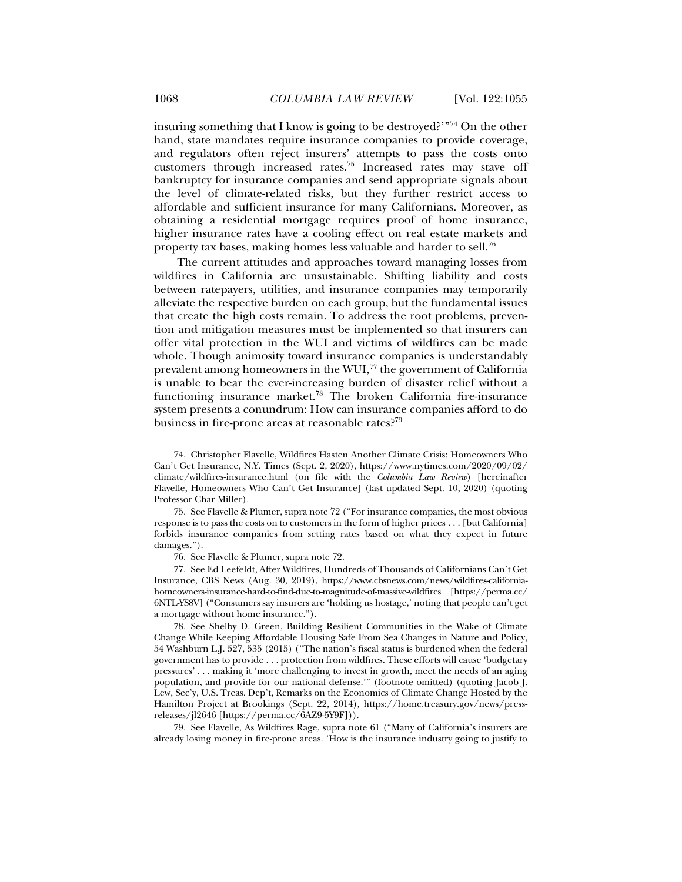insuring something that I know is going to be destroyed?'"74 On the other hand, state mandates require insurance companies to provide coverage, and regulators often reject insurers' attempts to pass the costs onto customers through increased rates.75 Increased rates may stave off bankruptcy for insurance companies and send appropriate signals about the level of climate-related risks, but they further restrict access to affordable and sufficient insurance for many Californians. Moreover, as obtaining a residential mortgage requires proof of home insurance, higher insurance rates have a cooling effect on real estate markets and property tax bases, making homes less valuable and harder to sell.76

The current attitudes and approaches toward managing losses from wildfires in California are unsustainable. Shifting liability and costs between ratepayers, utilities, and insurance companies may temporarily alleviate the respective burden on each group, but the fundamental issues that create the high costs remain. To address the root problems, prevention and mitigation measures must be implemented so that insurers can offer vital protection in the WUI and victims of wildfires can be made whole. Though animosity toward insurance companies is understandably prevalent among homeowners in the WUI, $^{77}$  the government of California is unable to bear the ever-increasing burden of disaster relief without a functioning insurance market.78 The broken California fire-insurance system presents a conundrum: How can insurance companies afford to do business in fire-prone areas at reasonable rates?<sup>79</sup>

76. See Flavelle & Plumer, supra note 72.

 77. See Ed Leefeldt, After Wildfires, Hundreds of Thousands of Californians Can't Get Insurance, CBS News (Aug. 30, 2019), https://www.cbsnews.com/news/wildfires-californiahomeowners-insurance-hard-to-find-due-to-magnitude-of-massive-wildfires [https://perma.cc/ 6NTL-YS8V] ("Consumers say insurers are 'holding us hostage,' noting that people can't get a mortgage without home insurance.").

 78. See Shelby D. Green, Building Resilient Communities in the Wake of Climate Change While Keeping Affordable Housing Safe From Sea Changes in Nature and Policy, 54 Washburn L.J. 527, 535 (2015) ("The nation's fiscal status is burdened when the federal government has to provide . . . protection from wildfires. These efforts will cause 'budgetary pressures' . . . making it 'more challenging to invest in growth, meet the needs of an aging population, and provide for our national defense.'" (footnote omitted) (quoting Jacob J. Lew, Sec'y, U.S. Treas. Dep't, Remarks on the Economics of Climate Change Hosted by the Hamilton Project at Brookings (Sept. 22, 2014), https://home.treasury.gov/news/pressreleases/jl2646 [https://perma.cc/6AZ9-5Y9F])).

 79. See Flavelle, As Wildfires Rage, supra note 61 ("Many of California's insurers are already losing money in fire-prone areas. 'How is the insurance industry going to justify to

 <sup>74.</sup> Christopher Flavelle, Wildfires Hasten Another Climate Crisis: Homeowners Who Can't Get Insurance, N.Y. Times (Sept. 2, 2020), https://www.nytimes.com/2020/09/02/ climate/wildfires-insurance.html (on file with the *Columbia Law Review*) [hereinafter Flavelle, Homeowners Who Can't Get Insurance] (last updated Sept. 10, 2020) (quoting Professor Char Miller).

 <sup>75.</sup> See Flavelle & Plumer, supra note 72 ("For insurance companies, the most obvious response is to pass the costs on to customers in the form of higher prices . . . [but California] forbids insurance companies from setting rates based on what they expect in future damages.").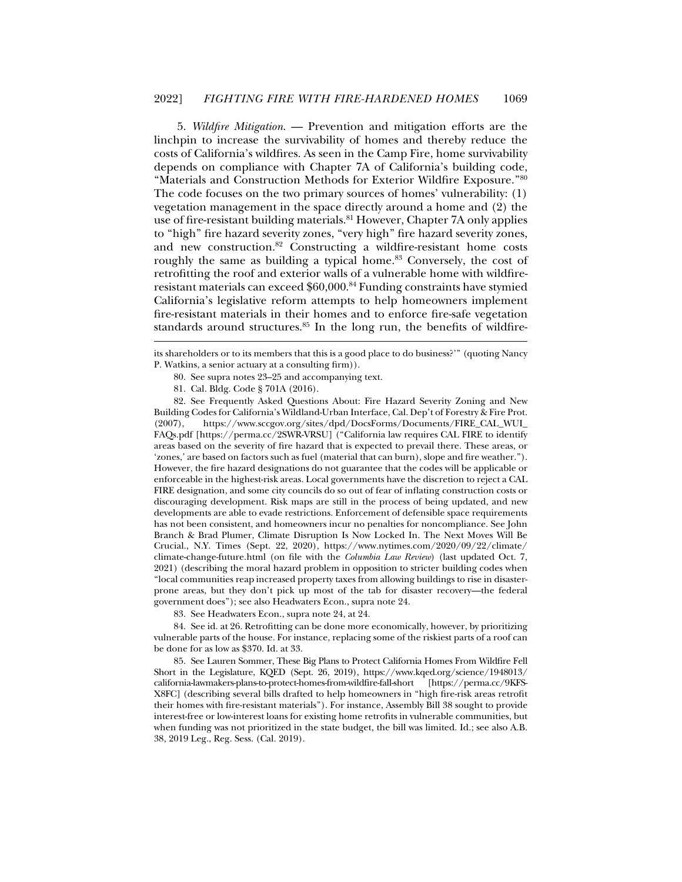5. *Wildfire Mitigation*. — Prevention and mitigation efforts are the linchpin to increase the survivability of homes and thereby reduce the costs of California's wildfires. As seen in the Camp Fire, home survivability depends on compliance with Chapter 7A of California's building code, "Materials and Construction Methods for Exterior Wildfire Exposure."80 The code focuses on the two primary sources of homes' vulnerability: (1) vegetation management in the space directly around a home and (2) the use of fire-resistant building materials.<sup>81</sup> However, Chapter 7A only applies to "high" fire hazard severity zones, "very high" fire hazard severity zones, and new construction.82 Constructing a wildfire-resistant home costs roughly the same as building a typical home.<sup>83</sup> Conversely, the cost of retrofitting the roof and exterior walls of a vulnerable home with wildfireresistant materials can exceed \$60,000.84 Funding constraints have stymied California's legislative reform attempts to help homeowners implement fire-resistant materials in their homes and to enforce fire-safe vegetation standards around structures.<sup>85</sup> In the long run, the benefits of wildfire-

its shareholders or to its members that this is a good place to do business?'" (quoting Nancy P. Watkins, a senior actuary at a consulting firm)).

- 80. See supra notes 23–25 and accompanying text.
- 81. Cal. Bldg. Code § 701A (2016).

j

 82. See Frequently Asked Questions About: Fire Hazard Severity Zoning and New Building Codes for California's Wildland-Urban Interface, Cal. Dep't of Forestry & Fire Prot. (2007), https://www.sccgov.org/sites/dpd/DocsForms/Documents/FIRE\_CAL\_WUI\_ FAQs.pdf [https://perma.cc/2SWR-VRSU] ("California law requires CAL FIRE to identify areas based on the severity of fire hazard that is expected to prevail there. These areas, or 'zones,' are based on factors such as fuel (material that can burn), slope and fire weather."). However, the fire hazard designations do not guarantee that the codes will be applicable or enforceable in the highest-risk areas. Local governments have the discretion to reject a CAL FIRE designation, and some city councils do so out of fear of inflating construction costs or discouraging development. Risk maps are still in the process of being updated, and new developments are able to evade restrictions. Enforcement of defensible space requirements has not been consistent, and homeowners incur no penalties for noncompliance. See John Branch & Brad Plumer, Climate Disruption Is Now Locked In. The Next Moves Will Be Crucial., N.Y. Times (Sept. 22, 2020), https://www.nytimes.com/2020/09/22/climate/ climate-change-future.html (on file with the *Columbia Law Review*) (last updated Oct. 7, 2021) (describing the moral hazard problem in opposition to stricter building codes when "local communities reap increased property taxes from allowing buildings to rise in disasterprone areas, but they don't pick up most of the tab for disaster recovery—the federal government does"); see also Headwaters Econ., supra note 24.

83. See Headwaters Econ., supra note 24, at 24.

 84. See id. at 26. Retrofitting can be done more economically, however, by prioritizing vulnerable parts of the house. For instance, replacing some of the riskiest parts of a roof can be done for as low as \$370. Id. at 33.

 85. See Lauren Sommer, These Big Plans to Protect California Homes From Wildfire Fell Short in the Legislature, KQED (Sept. 26, 2019), https://www.kqed.org/science/1948013/ california-lawmakers-plans-to-protect-homes-from-wildfire-fall-short [https://perma.cc/9KFS-X8FC] (describing several bills drafted to help homeowners in "high fire-risk areas retrofit their homes with fire-resistant materials"). For instance, Assembly Bill 38 sought to provide interest-free or low-interest loans for existing home retrofits in vulnerable communities, but when funding was not prioritized in the state budget, the bill was limited. Id.; see also A.B. 38, 2019 Leg., Reg. Sess. (Cal. 2019).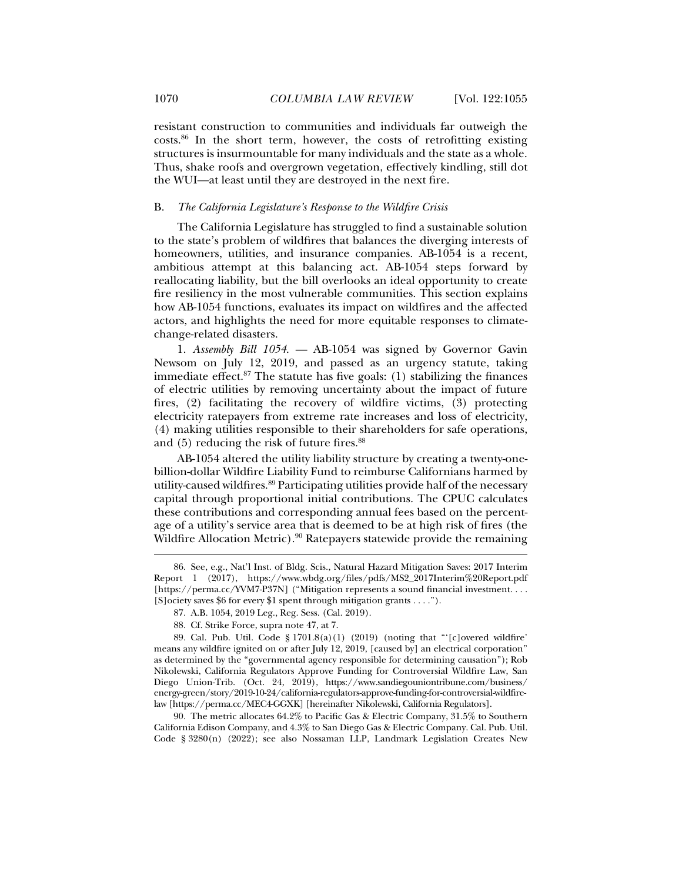resistant construction to communities and individuals far outweigh the costs.86 In the short term, however, the costs of retrofitting existing structures is insurmountable for many individuals and the state as a whole. Thus, shake roofs and overgrown vegetation, effectively kindling, still dot the WUI—at least until they are destroyed in the next fire.

# B. *The California Legislature's Response to the Wildfire Crisis*

The California Legislature has struggled to find a sustainable solution to the state's problem of wildfires that balances the diverging interests of homeowners, utilities, and insurance companies. AB-1054 is a recent, ambitious attempt at this balancing act. AB-1054 steps forward by reallocating liability, but the bill overlooks an ideal opportunity to create fire resiliency in the most vulnerable communities. This section explains how AB-1054 functions, evaluates its impact on wildfires and the affected actors, and highlights the need for more equitable responses to climatechange-related disasters.

1. *Assembly Bill 1054*. — AB-1054 was signed by Governor Gavin Newsom on July 12, 2019, and passed as an urgency statute, taking immediate effect. $87$  The statute has five goals: (1) stabilizing the finances of electric utilities by removing uncertainty about the impact of future fires, (2) facilitating the recovery of wildfire victims, (3) protecting electricity ratepayers from extreme rate increases and loss of electricity, (4) making utilities responsible to their shareholders for safe operations, and (5) reducing the risk of future fires.<sup>88</sup>

AB-1054 altered the utility liability structure by creating a twenty-onebillion-dollar Wildfire Liability Fund to reimburse Californians harmed by utility-caused wildfires.89 Participating utilities provide half of the necessary capital through proportional initial contributions. The CPUC calculates these contributions and corresponding annual fees based on the percentage of a utility's service area that is deemed to be at high risk of fires (the Wildfire Allocation Metric).<sup>90</sup> Ratepayers statewide provide the remaining

 90. The metric allocates 64.2% to Pacific Gas & Electric Company, 31.5% to Southern California Edison Company, and 4.3% to San Diego Gas & Electric Company. Cal. Pub. Util. Code § 3280(n) (2022); see also Nossaman LLP, Landmark Legislation Creates New

 <sup>86.</sup> See, e.g., Nat'l Inst. of Bldg. Scis., Natural Hazard Mitigation Saves: 2017 Interim Report 1 (2017), https://www.wbdg.org/files/pdfs/MS2\_2017Interim%20Report.pdf [https://perma.cc/YVM7-P37N] ("Mitigation represents a sound financial investment. . . . [S]ociety saves \$6 for every \$1 spent through mitigation grants . . . .").

 <sup>87.</sup> A.B. 1054, 2019 Leg., Reg. Sess. (Cal. 2019).

 <sup>88.</sup> Cf. Strike Force, supra note 47, at 7.

 <sup>89.</sup> Cal. Pub. Util. Code § 1701.8(a)(1) (2019) (noting that "'[c]overed wildfire' means any wildfire ignited on or after July 12, 2019, [caused by] an electrical corporation" as determined by the "governmental agency responsible for determining causation"); Rob Nikolewski, California Regulators Approve Funding for Controversial Wildfire Law, San Diego Union-Trib. (Oct. 24, 2019), https://www.sandiegouniontribune.com/business/ energy-green/story/2019-10-24/california-regulators-approve-funding-for-controversial-wildfirelaw [https://perma.cc/MEC4-GGXK] [hereinafter Nikolewski, California Regulators].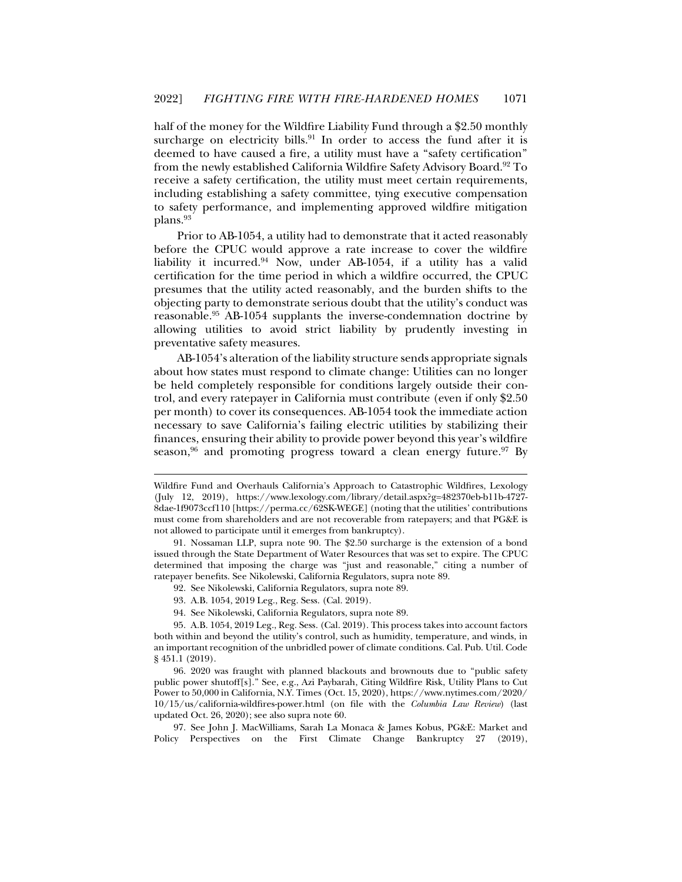half of the money for the Wildfire Liability Fund through a \$2.50 monthly surcharge on electricity bills.<sup>91</sup> In order to access the fund after it is deemed to have caused a fire, a utility must have a "safety certification" from the newly established California Wildfire Safety Advisory Board.<sup>92</sup> To receive a safety certification, the utility must meet certain requirements, including establishing a safety committee, tying executive compensation to safety performance, and implementing approved wildfire mitigation plans.93

Prior to AB-1054, a utility had to demonstrate that it acted reasonably before the CPUC would approve a rate increase to cover the wildfire liability it incurred. $94$  Now, under AB-1054, if a utility has a valid certification for the time period in which a wildfire occurred, the CPUC presumes that the utility acted reasonably, and the burden shifts to the objecting party to demonstrate serious doubt that the utility's conduct was reasonable.95 AB-1054 supplants the inverse-condemnation doctrine by allowing utilities to avoid strict liability by prudently investing in preventative safety measures.

AB-1054's alteration of the liability structure sends appropriate signals about how states must respond to climate change: Utilities can no longer be held completely responsible for conditions largely outside their control, and every ratepayer in California must contribute (even if only \$2.50 per month) to cover its consequences. AB-1054 took the immediate action necessary to save California's failing electric utilities by stabilizing their finances, ensuring their ability to provide power beyond this year's wildfire season,<sup>96</sup> and promoting progress toward a clean energy future.<sup>97</sup> By

- 92. See Nikolewski, California Regulators, supra note 89.
- 93. A.B. 1054, 2019 Leg., Reg. Sess. (Cal. 2019).

j

94. See Nikolewski, California Regulators, supra note 89.

Wildfire Fund and Overhauls California's Approach to Catastrophic Wildfires, Lexology (July 12, 2019), https://www.lexology.com/library/detail.aspx?g=482370eb-b11b-4727- 8dae-1f9073ccf110 [https://perma.cc/62SK-WEGE] (noting that the utilities' contributions must come from shareholders and are not recoverable from ratepayers; and that PG&E is not allowed to participate until it emerges from bankruptcy).

 <sup>91.</sup> Nossaman LLP, supra note 90. The \$2.50 surcharge is the extension of a bond issued through the State Department of Water Resources that was set to expire. The CPUC determined that imposing the charge was "just and reasonable," citing a number of ratepayer benefits. See Nikolewski, California Regulators, supra note 89.

 <sup>95.</sup> A.B. 1054, 2019 Leg., Reg. Sess. (Cal. 2019). This process takes into account factors both within and beyond the utility's control, such as humidity, temperature, and winds, in an important recognition of the unbridled power of climate conditions. Cal. Pub. Util. Code § 451.1 (2019).

 <sup>96. 2020</sup> was fraught with planned blackouts and brownouts due to "public safety public power shutoff[s]." See, e.g., Azi Paybarah, Citing Wildfire Risk, Utility Plans to Cut Power to 50,000 in California, N.Y. Times (Oct. 15, 2020), https://www.nytimes.com/2020/ 10/15/us/california-wildfires-power.html (on file with the *Columbia Law Review*) (last updated Oct. 26, 2020); see also supra note 60.

 <sup>97.</sup> See John J. MacWilliams, Sarah La Monaca & James Kobus, PG&E: Market and Policy Perspectives on the First Climate Change Bankruptcy 27 (2019),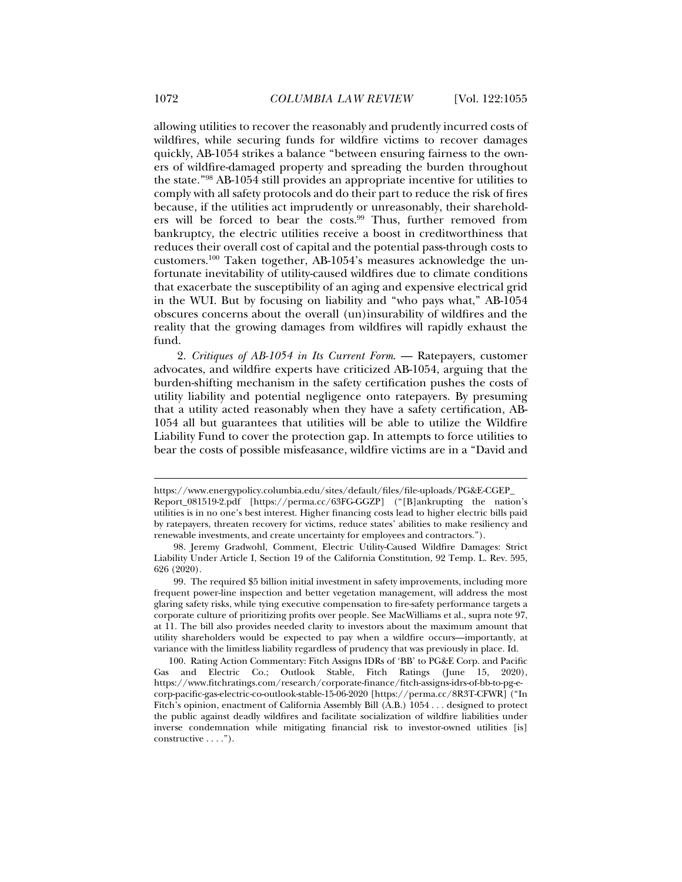allowing utilities to recover the reasonably and prudently incurred costs of wildfires, while securing funds for wildfire victims to recover damages quickly, AB-1054 strikes a balance "between ensuring fairness to the owners of wildfire-damaged property and spreading the burden throughout the state."98 AB-1054 still provides an appropriate incentive for utilities to comply with all safety protocols and do their part to reduce the risk of fires because, if the utilities act imprudently or unreasonably, their shareholders will be forced to bear the costs.<sup>99</sup> Thus, further removed from bankruptcy, the electric utilities receive a boost in creditworthiness that reduces their overall cost of capital and the potential pass-through costs to customers.100 Taken together, AB-1054's measures acknowledge the unfortunate inevitability of utility-caused wildfires due to climate conditions that exacerbate the susceptibility of an aging and expensive electrical grid in the WUI. But by focusing on liability and "who pays what," AB-1054 obscures concerns about the overall (un)insurability of wildfires and the reality that the growing damages from wildfires will rapidly exhaust the

fund.

j

2. *Critiques of AB-1054 in Its Current Form*. — Ratepayers, customer advocates, and wildfire experts have criticized AB-1054, arguing that the burden-shifting mechanism in the safety certification pushes the costs of utility liability and potential negligence onto ratepayers. By presuming that a utility acted reasonably when they have a safety certification, AB-1054 all but guarantees that utilities will be able to utilize the Wildfire Liability Fund to cover the protection gap. In attempts to force utilities to bear the costs of possible misfeasance, wildfire victims are in a "David and

https://www.energypolicy.columbia.edu/sites/default/files/file-uploads/PG&E-CGEP\_ Report\_081519-2.pdf [https://perma.cc/63FG-GGZP] ("[B]ankrupting the nation's utilities is in no one's best interest. Higher financing costs lead to higher electric bills paid by ratepayers, threaten recovery for victims, reduce states' abilities to make resiliency and renewable investments, and create uncertainty for employees and contractors.").

 <sup>98.</sup> Jeremy Gradwohl, Comment, Electric Utility-Caused Wildfire Damages: Strict Liability Under Article I, Section 19 of the California Constitution, 92 Temp. L. Rev. 595, 626 (2020).

 <sup>99.</sup> The required \$5 billion initial investment in safety improvements, including more frequent power-line inspection and better vegetation management, will address the most glaring safety risks, while tying executive compensation to fire-safety performance targets a corporate culture of prioritizing profits over people. See MacWilliams et al., supra note 97, at 11. The bill also provides needed clarity to investors about the maximum amount that utility shareholders would be expected to pay when a wildfire occurs—importantly, at variance with the limitless liability regardless of prudency that was previously in place. Id.

 <sup>100.</sup> Rating Action Commentary: Fitch Assigns IDRs of 'BB' to PG&E Corp. and Pacific Gas and Electric Co.; Outlook Stable, Fitch Ratings (June 15, 2020), https://www.fitchratings.com/research/corporate-finance/fitch-assigns-idrs-of-bb-to-pg-ecorp-pacific-gas-electric-co-outlook-stable-15-06-2020 [https://perma.cc/8R3T-CFWR] ("In Fitch's opinion, enactment of California Assembly Bill (A.B.) 1054 . . . designed to protect the public against deadly wildfires and facilitate socialization of wildfire liabilities under inverse condemnation while mitigating financial risk to investor-owned utilities [is] constructive . . . .").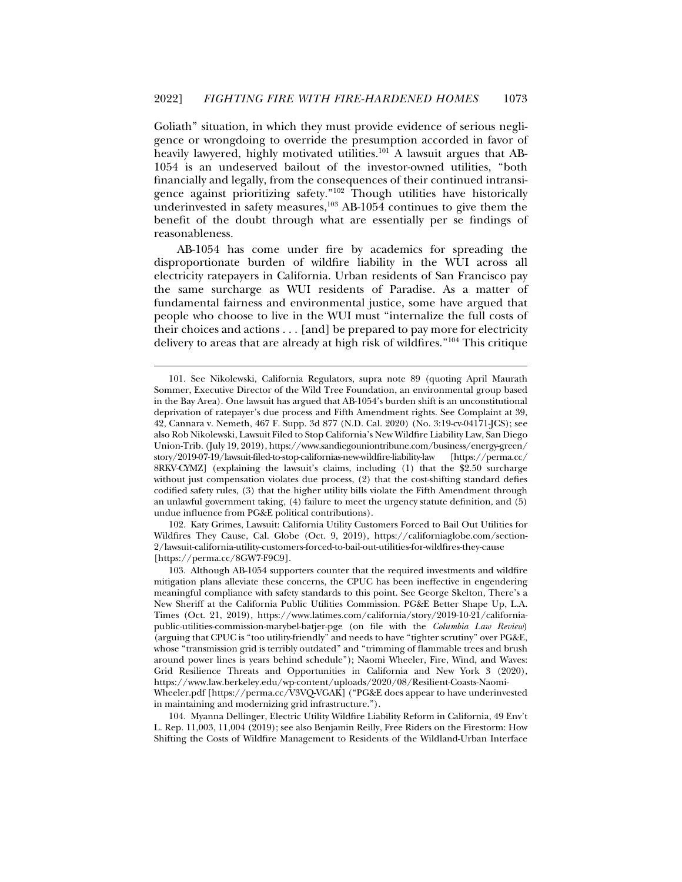Goliath" situation, in which they must provide evidence of serious negligence or wrongdoing to override the presumption accorded in favor of heavily lawyered, highly motivated utilities.<sup>101</sup> A lawsuit argues that AB-1054 is an undeserved bailout of the investor-owned utilities, "both financially and legally, from the consequences of their continued intransigence against prioritizing safety."102 Though utilities have historically underinvested in safety measures, $103$  AB-1054 continues to give them the benefit of the doubt through what are essentially per se findings of reasonableness.

AB-1054 has come under fire by academics for spreading the disproportionate burden of wildfire liability in the WUI across all electricity ratepayers in California. Urban residents of San Francisco pay the same surcharge as WUI residents of Paradise. As a matter of fundamental fairness and environmental justice, some have argued that people who choose to live in the WUI must "internalize the full costs of their choices and actions . . . [and] be prepared to pay more for electricity delivery to areas that are already at high risk of wildfires."104 This critique

j

 102. Katy Grimes, Lawsuit: California Utility Customers Forced to Bail Out Utilities for Wildfires They Cause, Cal. Globe (Oct. 9, 2019), https://californiaglobe.com/section-2/lawsuit-california-utility-customers-forced-to-bail-out-utilities-for-wildfires-they-cause [https://perma.cc/8GW7-F9C9].

 104. Myanna Dellinger, Electric Utility Wildfire Liability Reform in California, 49 Env't L. Rep. 11,003, 11,004 (2019); see also Benjamin Reilly, Free Riders on the Firestorm: How Shifting the Costs of Wildfire Management to Residents of the Wildland-Urban Interface

 <sup>101.</sup> See Nikolewski, California Regulators, supra note 89 (quoting April Maurath Sommer, Executive Director of the Wild Tree Foundation, an environmental group based in the Bay Area). One lawsuit has argued that AB-1054's burden shift is an unconstitutional deprivation of ratepayer's due process and Fifth Amendment rights. See Complaint at 39, 42, Cannara v. Nemeth, 467 F. Supp. 3d 877 (N.D. Cal. 2020) (No. 3:19-cv-04171-JCS); see also Rob Nikolewski, Lawsuit Filed to Stop California's New Wildfire Liability Law, San Diego Union-Trib. (July 19, 2019), https://www.sandiegouniontribune.com/business/energy-green/ story/2019-07-19/lawsuit-filed-to-stop-californias-new-wildfire-liability-law [https://perma.cc/ 8RKV-CYMZ] (explaining the lawsuit's claims, including (1) that the \$2.50 surcharge without just compensation violates due process, (2) that the cost-shifting standard defies codified safety rules, (3) that the higher utility bills violate the Fifth Amendment through an unlawful government taking, (4) failure to meet the urgency statute definition, and (5) undue influence from PG&E political contributions).

 <sup>103.</sup> Although AB-1054 supporters counter that the required investments and wildfire mitigation plans alleviate these concerns, the CPUC has been ineffective in engendering meaningful compliance with safety standards to this point. See George Skelton, There's a New Sheriff at the California Public Utilities Commission. PG&E Better Shape Up, L.A. Times (Oct. 21, 2019), https://www.latimes.com/california/story/2019-10-21/californiapublic-utilities-commission-marybel-batjer-pge (on file with the *Columbia Law Review*) (arguing that CPUC is "too utility-friendly" and needs to have "tighter scrutiny" over PG&E, whose "transmission grid is terribly outdated" and "trimming of flammable trees and brush around power lines is years behind schedule"); Naomi Wheeler, Fire, Wind, and Waves: Grid Resilience Threats and Opportunities in California and New York 3 (2020), https://www.law.berkeley.edu/wp-content/uploads/2020/08/Resilient-Coasts-Naomi-Wheeler.pdf [https://perma.cc/V3VQ-VGAK] ("PG&E does appear to have underinvested in maintaining and modernizing grid infrastructure.").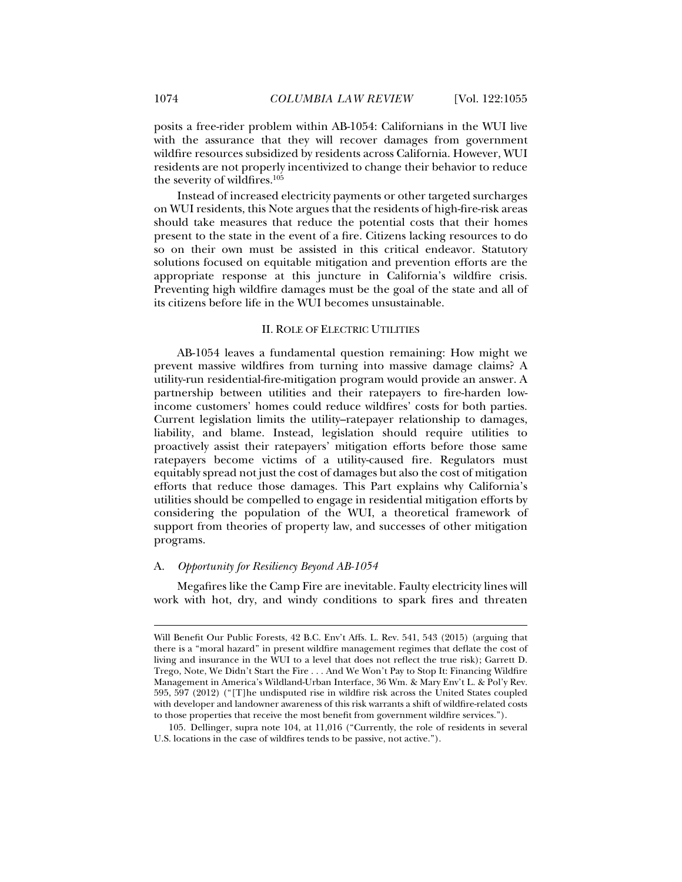posits a free-rider problem within AB-1054: Californians in the WUI live with the assurance that they will recover damages from government wildfire resources subsidized by residents across California. However, WUI residents are not properly incentivized to change their behavior to reduce the severity of wildfires.<sup>105</sup>

Instead of increased electricity payments or other targeted surcharges on WUI residents, this Note argues that the residents of high-fire-risk areas should take measures that reduce the potential costs that their homes present to the state in the event of a fire. Citizens lacking resources to do so on their own must be assisted in this critical endeavor. Statutory solutions focused on equitable mitigation and prevention efforts are the appropriate response at this juncture in California's wildfire crisis. Preventing high wildfire damages must be the goal of the state and all of its citizens before life in the WUI becomes unsustainable.

# II. ROLE OF ELECTRIC UTILITIES

AB-1054 leaves a fundamental question remaining: How might we prevent massive wildfires from turning into massive damage claims? A utility-run residential-fire-mitigation program would provide an answer. A partnership between utilities and their ratepayers to fire-harden lowincome customers' homes could reduce wildfires' costs for both parties. Current legislation limits the utility–ratepayer relationship to damages, liability, and blame. Instead, legislation should require utilities to proactively assist their ratepayers' mitigation efforts before those same ratepayers become victims of a utility-caused fire. Regulators must equitably spread not just the cost of damages but also the cost of mitigation efforts that reduce those damages. This Part explains why California's utilities should be compelled to engage in residential mitigation efforts by considering the population of the WUI, a theoretical framework of support from theories of property law, and successes of other mitigation programs.

# A. *Opportunity for Resiliency Beyond AB-1054*

Megafires like the Camp Fire are inevitable. Faulty electricity lines will work with hot, dry, and windy conditions to spark fires and threaten

Will Benefit Our Public Forests, 42 B.C. Env't Affs. L. Rev. 541, 543 (2015) (arguing that there is a "moral hazard" in present wildfire management regimes that deflate the cost of living and insurance in the WUI to a level that does not reflect the true risk); Garrett D. Trego, Note, We Didn't Start the Fire . . . And We Won't Pay to Stop It: Financing Wildfire Management in America's Wildland-Urban Interface, 36 Wm. & Mary Env't L. & Pol'y Rev. 595, 597 (2012) ("[T]he undisputed rise in wildfire risk across the United States coupled with developer and landowner awareness of this risk warrants a shift of wildfire-related costs to those properties that receive the most benefit from government wildfire services.").

 <sup>105.</sup> Dellinger, supra note 104, at 11,016 ("Currently, the role of residents in several U.S. locations in the case of wildfires tends to be passive, not active.").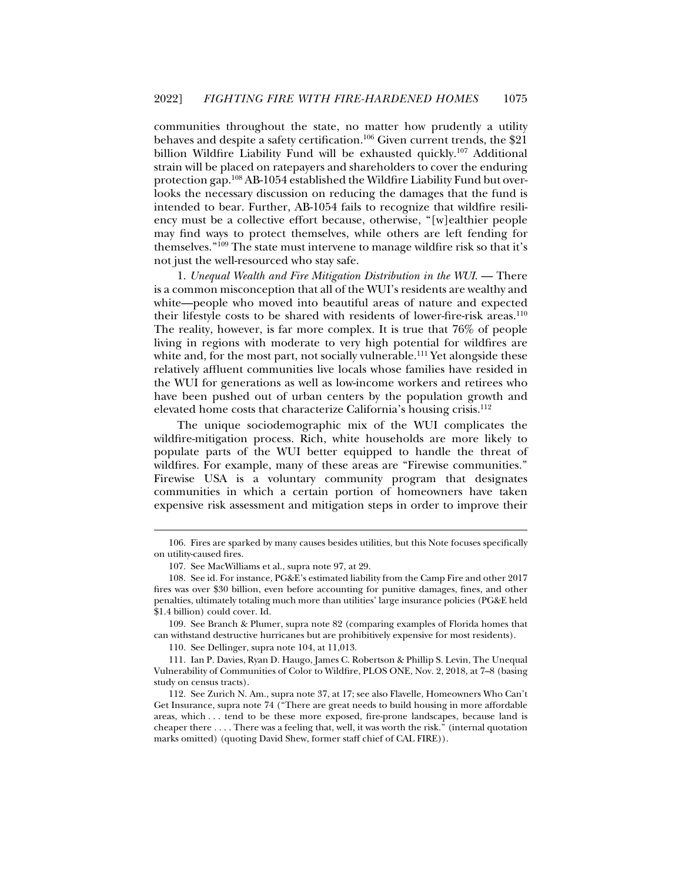communities throughout the state, no matter how prudently a utility behaves and despite a safety certification.<sup>106</sup> Given current trends, the \$21 billion Wildfire Liability Fund will be exhausted quickly.<sup>107</sup> Additional strain will be placed on ratepayers and shareholders to cover the enduring protection gap.108 AB-1054 established the Wildfire Liability Fund but overlooks the necessary discussion on reducing the damages that the fund is intended to bear. Further, AB-1054 fails to recognize that wildfire resiliency must be a collective effort because, otherwise, "[w]ealthier people may find ways to protect themselves, while others are left fending for themselves."109 The state must intervene to manage wildfire risk so that it's not just the well-resourced who stay safe.

1. *Unequal Wealth and Fire Mitigation Distribution in the WUI*. — There is a common misconception that all of the WUI's residents are wealthy and white—people who moved into beautiful areas of nature and expected their lifestyle costs to be shared with residents of lower-fire-risk areas.<sup>110</sup> The reality, however, is far more complex. It is true that 76% of people living in regions with moderate to very high potential for wildfires are white and, for the most part, not socially vulnerable.<sup>111</sup> Yet alongside these relatively affluent communities live locals whose families have resided in the WUI for generations as well as low-income workers and retirees who have been pushed out of urban centers by the population growth and elevated home costs that characterize California's housing crisis.<sup>112</sup>

The unique sociodemographic mix of the WUI complicates the wildfire-mitigation process. Rich, white households are more likely to populate parts of the WUI better equipped to handle the threat of wildfires. For example, many of these areas are "Firewise communities." Firewise USA is a voluntary community program that designates communities in which a certain portion of homeowners have taken expensive risk assessment and mitigation steps in order to improve their

j

110. See Dellinger, supra note 104, at 11,013.

 111. Ian P. Davies, Ryan D. Haugo, James C. Robertson & Phillip S. Levin, The Unequal Vulnerability of Communities of Color to Wildfire, PLOS ONE, Nov. 2, 2018, at 7–8 (basing study on census tracts).

 112. See Zurich N. Am., supra note 37, at 17; see also Flavelle, Homeowners Who Can't Get Insurance, supra note 74 ("There are great needs to build housing in more affordable areas, which . . . tend to be these more exposed, fire-prone landscapes, because land is cheaper there . . . . There was a feeling that, well, it was worth the risk." (internal quotation marks omitted) (quoting David Shew, former staff chief of CAL FIRE)).

 <sup>106.</sup> Fires are sparked by many causes besides utilities, but this Note focuses specifically on utility-caused fires.

 <sup>107.</sup> See MacWilliams et al., supra note 97, at 29.

 <sup>108.</sup> See id. For instance, PG&E's estimated liability from the Camp Fire and other 2017 fires was over \$30 billion, even before accounting for punitive damages, fines, and other penalties, ultimately totaling much more than utilities' large insurance policies (PG&E held \$1.4 billion) could cover. Id.

 <sup>109.</sup> See Branch & Plumer, supra note 82 (comparing examples of Florida homes that can withstand destructive hurricanes but are prohibitively expensive for most residents).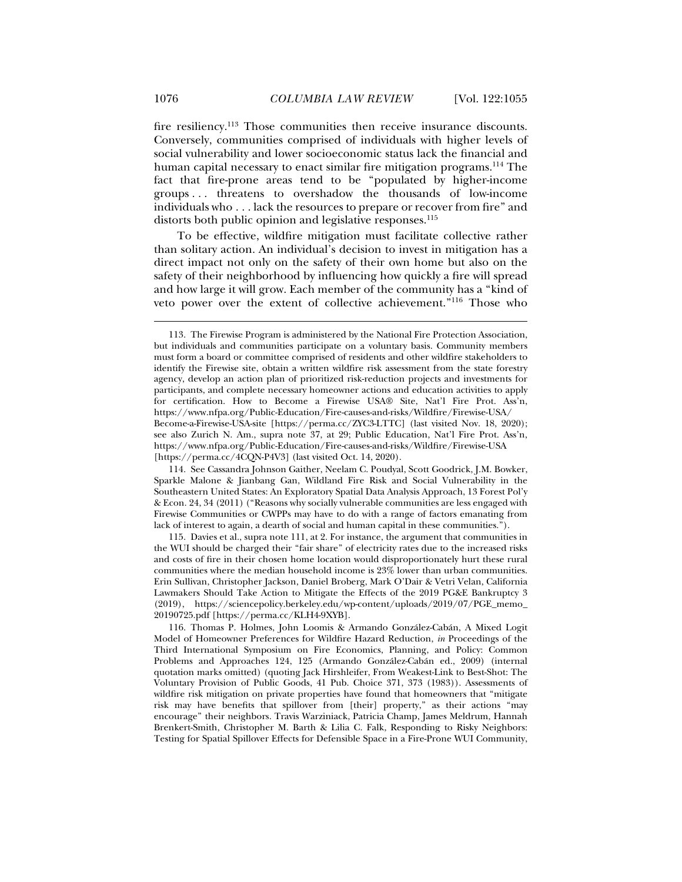fire resiliency.<sup>113</sup> Those communities then receive insurance discounts. Conversely, communities comprised of individuals with higher levels of social vulnerability and lower socioeconomic status lack the financial and human capital necessary to enact similar fire mitigation programs.114 The fact that fire-prone areas tend to be "populated by higher-income groups . . . threatens to overshadow the thousands of low-income individuals who . . . lack the resources to prepare or recover from fire" and distorts both public opinion and legislative responses.<sup>115</sup>

To be effective, wildfire mitigation must facilitate collective rather than solitary action. An individual's decision to invest in mitigation has a direct impact not only on the safety of their own home but also on the safety of their neighborhood by influencing how quickly a fire will spread and how large it will grow. Each member of the community has a "kind of veto power over the extent of collective achievement."<sup>116</sup> Those who

 114. See Cassandra Johnson Gaither, Neelam C. Poudyal, Scott Goodrick, J.M. Bowker, Sparkle Malone & Jianbang Gan, Wildland Fire Risk and Social Vulnerability in the Southeastern United States: An Exploratory Spatial Data Analysis Approach, 13 Forest Pol'y & Econ. 24, 34 (2011) ("Reasons why socially vulnerable communities are less engaged with Firewise Communities or CWPPs may have to do with a range of factors emanating from lack of interest to again, a dearth of social and human capital in these communities.").

 115. Davies et al., supra note 111, at 2. For instance, the argument that communities in the WUI should be charged their "fair share" of electricity rates due to the increased risks and costs of fire in their chosen home location would disproportionately hurt these rural communities where the median household income is 23% lower than urban communities. Erin Sullivan, Christopher Jackson, Daniel Broberg, Mark O'Dair & Vetri Velan, California Lawmakers Should Take Action to Mitigate the Effects of the 2019 PG&E Bankruptcy 3 (2019), https://sciencepolicy.berkeley.edu/wp-content/uploads/2019/07/PGE\_memo\_ 20190725.pdf [https://perma.cc/KLH4-9XYB].

 116. Thomas P. Holmes, John Loomis & Armando González-Cabán, A Mixed Logit Model of Homeowner Preferences for Wildfire Hazard Reduction, *in* Proceedings of the Third International Symposium on Fire Economics, Planning, and Policy: Common Problems and Approaches 124, 125 (Armando González-Cabán ed., 2009) (internal quotation marks omitted) (quoting Jack Hirshleifer, From Weakest-Link to Best-Shot: The Voluntary Provision of Public Goods, 41 Pub. Choice 371, 373 (1983)). Assessments of wildfire risk mitigation on private properties have found that homeowners that "mitigate risk may have benefits that spillover from [their] property," as their actions "may encourage" their neighbors. Travis Warziniack, Patricia Champ, James Meldrum, Hannah Brenkert-Smith, Christopher M. Barth & Lilia C. Falk, Responding to Risky Neighbors: Testing for Spatial Spillover Effects for Defensible Space in a Fire-Prone WUI Community,

 <sup>113.</sup> The Firewise Program is administered by the National Fire Protection Association, but individuals and communities participate on a voluntary basis. Community members must form a board or committee comprised of residents and other wildfire stakeholders to identify the Firewise site, obtain a written wildfire risk assessment from the state forestry agency, develop an action plan of prioritized risk-reduction projects and investments for participants, and complete necessary homeowner actions and education activities to apply for certification. How to Become a Firewise USA® Site, Nat'l Fire Prot. Ass'n, https://www.nfpa.org/Public-Education/Fire-causes-and-risks/Wildfire/Firewise-USA/ Become-a-Firewise-USA-site [https://perma.cc/ZYC3-LTTC] (last visited Nov. 18, 2020); see also Zurich N. Am., supra note 37, at 29; Public Education, Nat'l Fire Prot. Ass'n, https://www.nfpa.org/Public-Education/Fire-causes-and-risks/Wildfire/Firewise-USA [https://perma.cc/4CQN-P4V3] (last visited Oct. 14, 2020).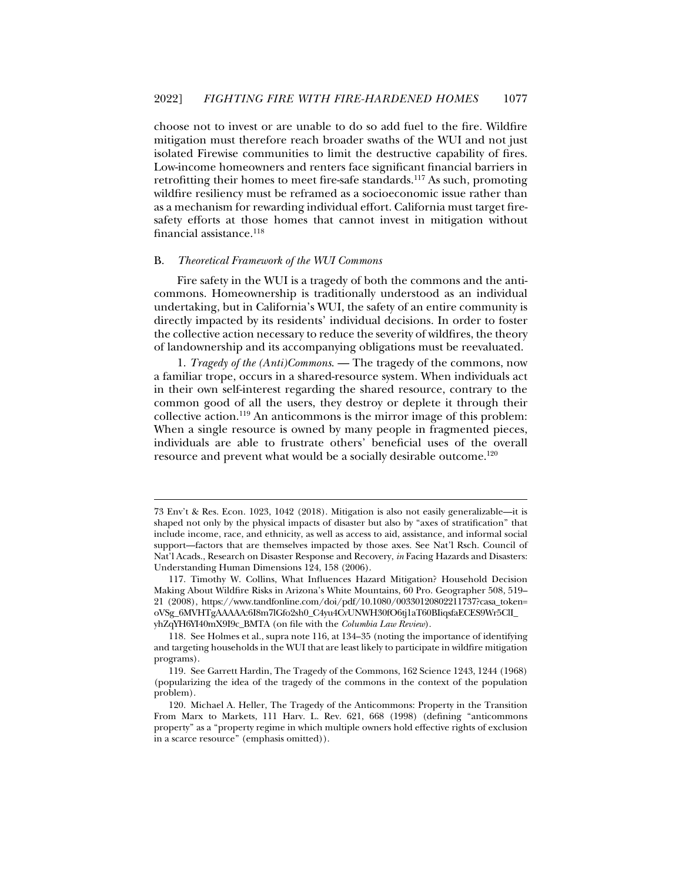choose not to invest or are unable to do so add fuel to the fire. Wildfire mitigation must therefore reach broader swaths of the WUI and not just isolated Firewise communities to limit the destructive capability of fires. Low-income homeowners and renters face significant financial barriers in retrofitting their homes to meet fire-safe standards.<sup>117</sup> As such, promoting wildfire resiliency must be reframed as a socioeconomic issue rather than as a mechanism for rewarding individual effort. California must target firesafety efforts at those homes that cannot invest in mitigation without financial assistance.<sup>118</sup>

#### B. *Theoretical Framework of the WUI Commons*

j

Fire safety in the WUI is a tragedy of both the commons and the anticommons. Homeownership is traditionally understood as an individual undertaking, but in California's WUI, the safety of an entire community is directly impacted by its residents' individual decisions. In order to foster the collective action necessary to reduce the severity of wildfires, the theory of landownership and its accompanying obligations must be reevaluated.

1. *Tragedy of the (Anti)Commons*. — The tragedy of the commons, now a familiar trope, occurs in a shared-resource system. When individuals act in their own self-interest regarding the shared resource, contrary to the common good of all the users, they destroy or deplete it through their collective action.119 An anticommons is the mirror image of this problem: When a single resource is owned by many people in fragmented pieces, individuals are able to frustrate others' beneficial uses of the overall resource and prevent what would be a socially desirable outcome.<sup>120</sup>

<sup>73</sup> Env't & Res. Econ. 1023, 1042 (2018). Mitigation is also not easily generalizable—it is shaped not only by the physical impacts of disaster but also by "axes of stratification" that include income, race, and ethnicity, as well as access to aid, assistance, and informal social support—factors that are themselves impacted by those axes. See Nat'l Rsch. Council of Nat'l Acads., Research on Disaster Response and Recovery, *in* Facing Hazards and Disasters: Understanding Human Dimensions 124, 158 (2006).

 <sup>117.</sup> Timothy W. Collins, What Influences Hazard Mitigation? Household Decision Making About Wildfire Risks in Arizona's White Mountains, 60 Pro. Geographer 508, 519– 21 (2008), https://www.tandfonline.com/doi/pdf/10.1080/00330120802211737?casa\_token= oVSg\_6MVHTgAAAAA:6I8m7lGfo2sh0\_C4yu4CvUNWH30fO6tj1aT60BIiqsfaECES9Wr5ClI\_ yhZqYH6YI40mX9I9c\_BMTA (on file with the *Columbia Law Review*).

 <sup>118.</sup> See Holmes et al., supra note 116, at 134–35 (noting the importance of identifying and targeting households in the WUI that are least likely to participate in wildfire mitigation programs).

 <sup>119.</sup> See Garrett Hardin, The Tragedy of the Commons, 162 Science 1243, 1244 (1968) (popularizing the idea of the tragedy of the commons in the context of the population problem).

 <sup>120.</sup> Michael A. Heller, The Tragedy of the Anticommons: Property in the Transition From Marx to Markets, 111 Harv. L. Rev. 621, 668 (1998) (defining "anticommons property" as a "property regime in which multiple owners hold effective rights of exclusion in a scarce resource" (emphasis omitted)).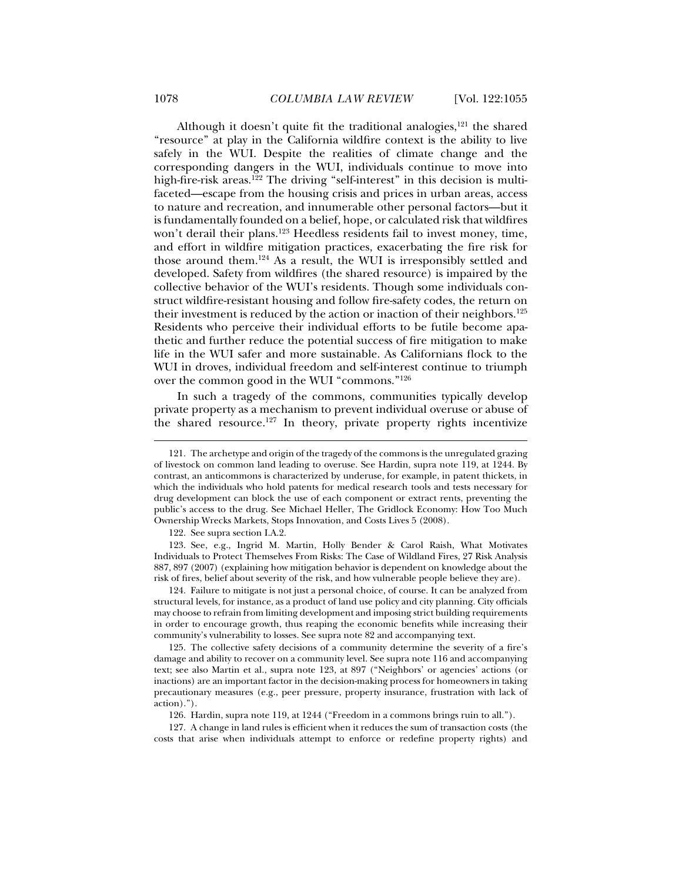Although it doesn't quite fit the traditional analogies, $121$  the shared "resource" at play in the California wildfire context is the ability to live safely in the WUI. Despite the realities of climate change and the corresponding dangers in the WUI, individuals continue to move into high-fire-risk areas.<sup>122</sup> The driving "self-interest" in this decision is multifaceted—escape from the housing crisis and prices in urban areas, access to nature and recreation, and innumerable other personal factors—but it is fundamentally founded on a belief, hope, or calculated risk that wildfires won't derail their plans.<sup>123</sup> Heedless residents fail to invest money, time, and effort in wildfire mitigation practices, exacerbating the fire risk for those around them.124 As a result, the WUI is irresponsibly settled and developed. Safety from wildfires (the shared resource) is impaired by the collective behavior of the WUI's residents. Though some individuals construct wildfire-resistant housing and follow fire-safety codes, the return on their investment is reduced by the action or inaction of their neighbors.125 Residents who perceive their individual efforts to be futile become apathetic and further reduce the potential success of fire mitigation to make life in the WUI safer and more sustainable. As Californians flock to the WUI in droves, individual freedom and self-interest continue to triumph over the common good in the WUI "commons."126

In such a tragedy of the commons, communities typically develop private property as a mechanism to prevent individual overuse or abuse of the shared resource.<sup>127</sup> In theory, private property rights incentivize

122. See supra section I.A.2.

 123. See, e.g., Ingrid M. Martin, Holly Bender & Carol Raish, What Motivates Individuals to Protect Themselves From Risks: The Case of Wildland Fires, 27 Risk Analysis 887, 897 (2007) (explaining how mitigation behavior is dependent on knowledge about the risk of fires, belief about severity of the risk, and how vulnerable people believe they are).

 124. Failure to mitigate is not just a personal choice, of course. It can be analyzed from structural levels, for instance, as a product of land use policy and city planning. City officials may choose to refrain from limiting development and imposing strict building requirements in order to encourage growth, thus reaping the economic benefits while increasing their community's vulnerability to losses. See supra note 82 and accompanying text.

 125. The collective safety decisions of a community determine the severity of a fire's damage and ability to recover on a community level. See supra note 116 and accompanying text; see also Martin et al., supra note 123, at 897 ("Neighbors' or agencies' actions (or inactions) are an important factor in the decision-making process for homeowners in taking precautionary measures (e.g., peer pressure, property insurance, frustration with lack of action).").

126. Hardin, supra note 119, at 1244 ("Freedom in a commons brings ruin to all.").

 127. A change in land rules is efficient when it reduces the sum of transaction costs (the costs that arise when individuals attempt to enforce or redefine property rights) and

 <sup>121.</sup> The archetype and origin of the tragedy of the commons is the unregulated grazing of livestock on common land leading to overuse. See Hardin, supra note 119, at 1244. By contrast, an anticommons is characterized by underuse, for example, in patent thickets, in which the individuals who hold patents for medical research tools and tests necessary for drug development can block the use of each component or extract rents, preventing the public's access to the drug. See Michael Heller, The Gridlock Economy: How Too Much Ownership Wrecks Markets, Stops Innovation, and Costs Lives 5 (2008).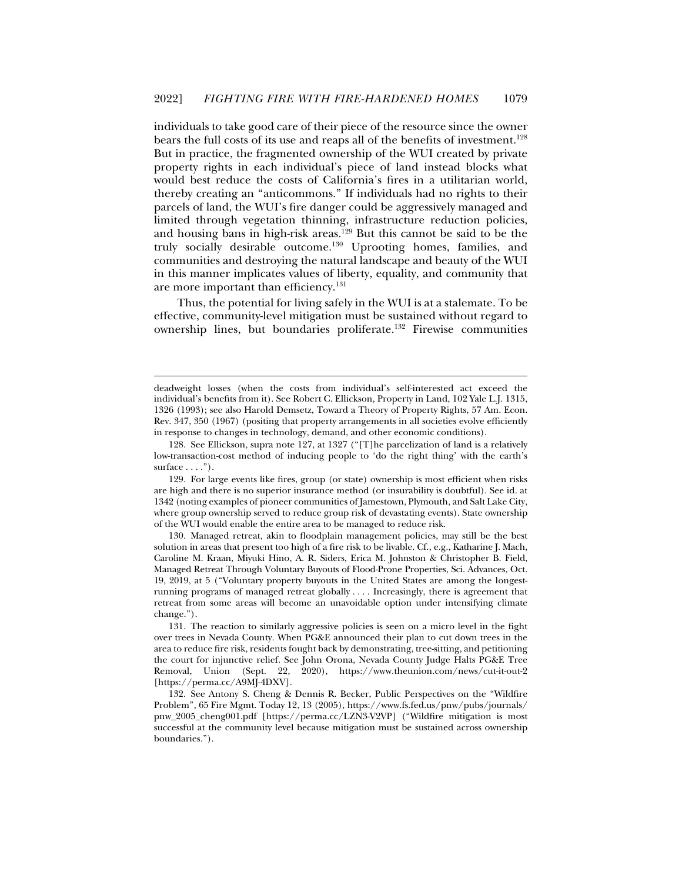individuals to take good care of their piece of the resource since the owner bears the full costs of its use and reaps all of the benefits of investment.<sup>128</sup> But in practice, the fragmented ownership of the WUI created by private property rights in each individual's piece of land instead blocks what would best reduce the costs of California's fires in a utilitarian world, thereby creating an "anticommons." If individuals had no rights to their parcels of land, the WUI's fire danger could be aggressively managed and limited through vegetation thinning, infrastructure reduction policies, and housing bans in high-risk areas.129 But this cannot be said to be the truly socially desirable outcome.<sup>130</sup> Uprooting homes, families, and communities and destroying the natural landscape and beauty of the WUI in this manner implicates values of liberty, equality, and community that are more important than efficiency.131

Thus, the potential for living safely in the WUI is at a stalemate. To be effective, community-level mitigation must be sustained without regard to ownership lines, but boundaries proliferate.132 Firewise communities

deadweight losses (when the costs from individual's self-interested act exceed the individual's benefits from it). See Robert C. Ellickson, Property in Land, 102 Yale L.J. 1315, 1326 (1993); see also Harold Demsetz, Toward a Theory of Property Rights, 57 Am. Econ. Rev. 347, 350 (1967) (positing that property arrangements in all societies evolve efficiently in response to changes in technology, demand, and other economic conditions).

 <sup>128.</sup> See Ellickson, supra note 127, at 1327 ("[T]he parcelization of land is a relatively low-transaction-cost method of inducing people to 'do the right thing' with the earth's surface  $\dots$ .").

 <sup>129.</sup> For large events like fires, group (or state) ownership is most efficient when risks are high and there is no superior insurance method (or insurability is doubtful). See id. at 1342 (noting examples of pioneer communities of Jamestown, Plymouth, and Salt Lake City, where group ownership served to reduce group risk of devastating events). State ownership of the WUI would enable the entire area to be managed to reduce risk.

 <sup>130.</sup> Managed retreat, akin to floodplain management policies, may still be the best solution in areas that present too high of a fire risk to be livable. Cf., e.g., Katharine J. Mach, Caroline M. Kraan, Miyuki Hino, A. R. Siders, Erica M. Johnston & Christopher B. Field, Managed Retreat Through Voluntary Buyouts of Flood-Prone Properties, Sci. Advances, Oct. 19, 2019, at 5 ("Voluntary property buyouts in the United States are among the longestrunning programs of managed retreat globally . . . . Increasingly, there is agreement that retreat from some areas will become an unavoidable option under intensifying climate change.").

 <sup>131.</sup> The reaction to similarly aggressive policies is seen on a micro level in the fight over trees in Nevada County. When PG&E announced their plan to cut down trees in the area to reduce fire risk, residents fought back by demonstrating, tree-sitting, and petitioning the court for injunctive relief. See John Orona, Nevada County Judge Halts PG&E Tree Removal, Union (Sept. 22, 2020), https://www.theunion.com/news/cut-it-out-2 [https://perma.cc/A9MJ-4DXV].

 <sup>132.</sup> See Antony S. Cheng & Dennis R. Becker, Public Perspectives on the "Wildfire Problem", 65 Fire Mgmt. Today 12, 13 (2005), https://www.fs.fed.us/pnw/pubs/journals/ pnw\_2005\_cheng001.pdf [https://perma.cc/LZN3-V2VP] ("Wildfire mitigation is most successful at the community level because mitigation must be sustained across ownership boundaries.").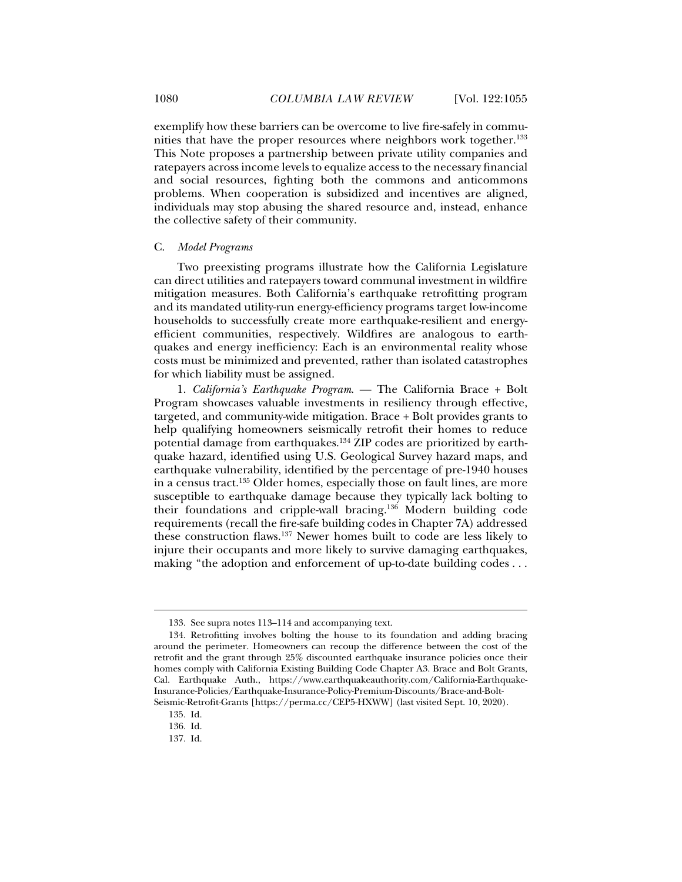exemplify how these barriers can be overcome to live fire-safely in communities that have the proper resources where neighbors work together.<sup>133</sup> This Note proposes a partnership between private utility companies and ratepayers across income levels to equalize access to the necessary financial and social resources, fighting both the commons and anticommons problems. When cooperation is subsidized and incentives are aligned, individuals may stop abusing the shared resource and, instead, enhance the collective safety of their community.

#### C. *Model Programs*

Two preexisting programs illustrate how the California Legislature can direct utilities and ratepayers toward communal investment in wildfire mitigation measures. Both California's earthquake retrofitting program and its mandated utility-run energy-efficiency programs target low-income households to successfully create more earthquake-resilient and energyefficient communities, respectively. Wildfires are analogous to earthquakes and energy inefficiency: Each is an environmental reality whose costs must be minimized and prevented, rather than isolated catastrophes for which liability must be assigned.

1. *California's Earthquake Program*. — The California Brace + Bolt Program showcases valuable investments in resiliency through effective, targeted, and community-wide mitigation. Brace + Bolt provides grants to help qualifying homeowners seismically retrofit their homes to reduce potential damage from earthquakes.134 ZIP codes are prioritized by earthquake hazard, identified using U.S. Geological Survey hazard maps, and earthquake vulnerability, identified by the percentage of pre-1940 houses in a census tract.135 Older homes, especially those on fault lines, are more susceptible to earthquake damage because they typically lack bolting to their foundations and cripple-wall bracing.136 Modern building code requirements (recall the fire-safe building codes in Chapter 7A) addressed these construction flaws.137 Newer homes built to code are less likely to injure their occupants and more likely to survive damaging earthquakes, making "the adoption and enforcement of up-to-date building codes . . .

 <sup>133.</sup> See supra notes 113–114 and accompanying text.

 <sup>134.</sup> Retrofitting involves bolting the house to its foundation and adding bracing around the perimeter. Homeowners can recoup the difference between the cost of the retrofit and the grant through 25% discounted earthquake insurance policies once their homes comply with California Existing Building Code Chapter A3. Brace and Bolt Grants, Cal. Earthquake Auth., https://www.earthquakeauthority.com/California-Earthquake-Insurance-Policies/Earthquake-Insurance-Policy-Premium-Discounts/Brace-and-Bolt-Seismic-Retrofit-Grants [https://perma.cc/CEP5-HXWW] (last visited Sept. 10, 2020).

 <sup>135.</sup> Id.

 <sup>136.</sup> Id.

 <sup>137.</sup> Id.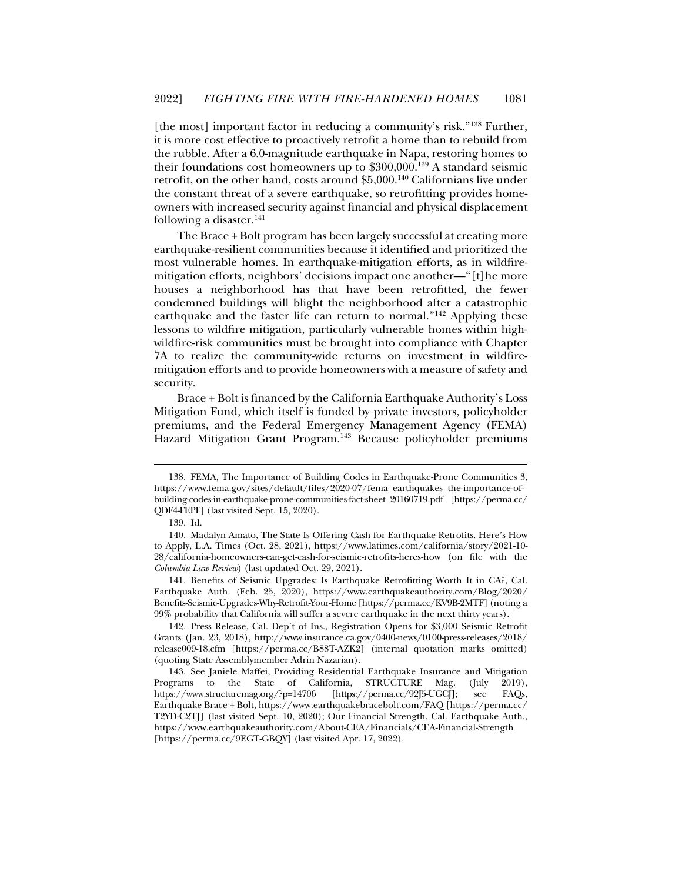[the most] important factor in reducing a community's risk."138 Further, it is more cost effective to proactively retrofit a home than to rebuild from the rubble. After a 6.0-magnitude earthquake in Napa, restoring homes to their foundations cost homeowners up to \$300,000.139 A standard seismic retrofit, on the other hand, costs around \$5,000.140 Californians live under the constant threat of a severe earthquake, so retrofitting provides homeowners with increased security against financial and physical displacement following a disaster. $141$ 

The Brace + Bolt program has been largely successful at creating more earthquake-resilient communities because it identified and prioritized the most vulnerable homes. In earthquake-mitigation efforts, as in wildfiremitigation efforts, neighbors' decisions impact one another—"[t]he more houses a neighborhood has that have been retrofitted, the fewer condemned buildings will blight the neighborhood after a catastrophic earthquake and the faster life can return to normal."<sup>142</sup> Applying these lessons to wildfire mitigation, particularly vulnerable homes within highwildfire-risk communities must be brought into compliance with Chapter 7A to realize the community-wide returns on investment in wildfiremitigation efforts and to provide homeowners with a measure of safety and security.

Brace + Bolt is financed by the California Earthquake Authority's Loss Mitigation Fund, which itself is funded by private investors, policyholder premiums, and the Federal Emergency Management Agency (FEMA) Hazard Mitigation Grant Program.143 Because policyholder premiums

j

 141. Benefits of Seismic Upgrades: Is Earthquake Retrofitting Worth It in CA?, Cal. Earthquake Auth. (Feb. 25, 2020), https://www.earthquakeauthority.com/Blog/2020/ Benefits-Seismic-Upgrades-Why-Retrofit-Your-Home [https://perma.cc/KV9B-2MTF] (noting a 99% probability that California will suffer a severe earthquake in the next thirty years).

 142. Press Release, Cal. Dep't of Ins., Registration Opens for \$3,000 Seismic Retrofit Grants (Jan. 23, 2018), http://www.insurance.ca.gov/0400-news/0100-press-releases/2018/ release009-18.cfm [https://perma.cc/B88T-AZK2] (internal quotation marks omitted) (quoting State Assemblymember Adrin Nazarian).

 <sup>138.</sup> FEMA, The Importance of Building Codes in Earthquake-Prone Communities 3, https://www.fema.gov/sites/default/files/2020-07/fema\_earthquakes\_the-importance-ofbuilding-codes-in-earthquake-prone-communities-fact-sheet\_20160719.pdf [https://perma.cc/ QDF4-FEPF] (last visited Sept. 15, 2020).

 <sup>139.</sup> Id.

 <sup>140.</sup> Madalyn Amato, The State Is Offering Cash for Earthquake Retrofits. Here's How to Apply, L.A. Times (Oct. 28, 2021), https://www.latimes.com/california/story/2021-10- 28/california-homeowners-can-get-cash-for-seismic-retrofits-heres-how (on file with the *Columbia Law Review*) (last updated Oct. 29, 2021).

 <sup>143.</sup> See Janiele Maffei, Providing Residential Earthquake Insurance and Mitigation Programs to the State of California, STRUCTURE Mag. (July 2019), https://www.structuremag.org/?p=14706 [https://perma.cc/92J5-UGCJ]; see FAQs, Earthquake Brace + Bolt, https://www.earthquakebracebolt.com/FAQ [https://perma.cc/ T2YD-C2TJ] (last visited Sept. 10, 2020); Our Financial Strength, Cal. Earthquake Auth., https://www.earthquakeauthority.com/About-CEA/Financials/CEA-Financial-Strength [https://perma.cc/9EGT-GBQY] (last visited Apr. 17, 2022).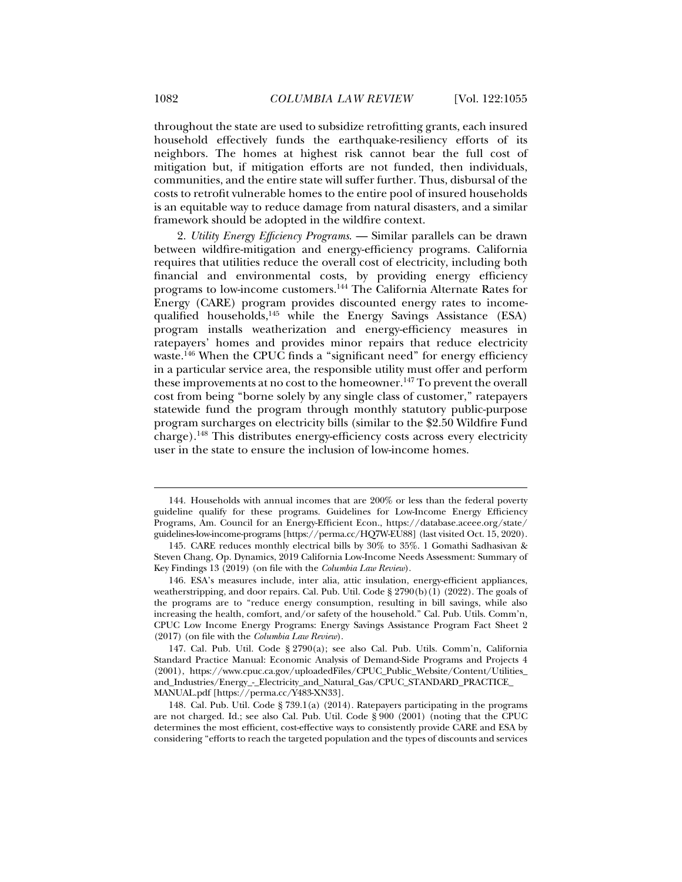throughout the state are used to subsidize retrofitting grants, each insured household effectively funds the earthquake-resiliency efforts of its neighbors. The homes at highest risk cannot bear the full cost of mitigation but, if mitigation efforts are not funded, then individuals, communities, and the entire state will suffer further. Thus, disbursal of the costs to retrofit vulnerable homes to the entire pool of insured households is an equitable way to reduce damage from natural disasters, and a similar framework should be adopted in the wildfire context.

2. *Utility Energy Efficiency Programs*. — Similar parallels can be drawn between wildfire-mitigation and energy-efficiency programs. California requires that utilities reduce the overall cost of electricity, including both financial and environmental costs, by providing energy efficiency programs to low-income customers.144 The California Alternate Rates for Energy (CARE) program provides discounted energy rates to incomequalified households,<sup>145</sup> while the Energy Savings Assistance (ESA) program installs weatherization and energy-efficiency measures in ratepayers' homes and provides minor repairs that reduce electricity waste.<sup>146</sup> When the CPUC finds a "significant need" for energy efficiency in a particular service area, the responsible utility must offer and perform these improvements at no cost to the homeowner.<sup>147</sup> To prevent the overall cost from being "borne solely by any single class of customer," ratepayers statewide fund the program through monthly statutory public-purpose program surcharges on electricity bills (similar to the \$2.50 Wildfire Fund charge).148 This distributes energy-efficiency costs across every electricity user in the state to ensure the inclusion of low-income homes.

 <sup>144.</sup> Households with annual incomes that are 200% or less than the federal poverty guideline qualify for these programs. Guidelines for Low-Income Energy Efficiency Programs, Am. Council for an Energy-Efficient Econ., https://database.aceee.org/state/ guidelines-low-income-programs [https://perma.cc/HQ7W-EU88] (last visited Oct. 15, 2020).

 <sup>145.</sup> CARE reduces monthly electrical bills by 30% to 35%. 1 Gomathi Sadhasivan & Steven Chang, Op. Dynamics, 2019 California Low-Income Needs Assessment: Summary of Key Findings 13 (2019) (on file with the *Columbia Law Review*).

 <sup>146.</sup> ESA's measures include, inter alia, attic insulation, energy-efficient appliances, weatherstripping, and door repairs. Cal. Pub. Util. Code  $\S 2790(b)(1)$  (2022). The goals of the programs are to "reduce energy consumption, resulting in bill savings, while also increasing the health, comfort, and/or safety of the household." Cal. Pub. Utils. Comm'n, CPUC Low Income Energy Programs: Energy Savings Assistance Program Fact Sheet 2 (2017) (on file with the *Columbia Law Review*).

 <sup>147.</sup> Cal. Pub. Util. Code § 2790(a); see also Cal. Pub. Utils. Comm'n, California Standard Practice Manual: Economic Analysis of Demand-Side Programs and Projects 4 (2001), https://www.cpuc.ca.gov/uploadedFiles/CPUC\_Public\_Website/Content/Utilities\_ and\_Industries/Energy\_-\_Electricity\_and\_Natural\_Gas/CPUC\_STANDARD\_PRACTICE\_ MANUAL.pdf [https://perma.cc/Y483-XN33].

 <sup>148.</sup> Cal. Pub. Util. Code § 739.1(a) (2014). Ratepayers participating in the programs are not charged. Id.; see also Cal. Pub. Util. Code § 900 (2001) (noting that the CPUC determines the most efficient, cost-effective ways to consistently provide CARE and ESA by considering "efforts to reach the targeted population and the types of discounts and services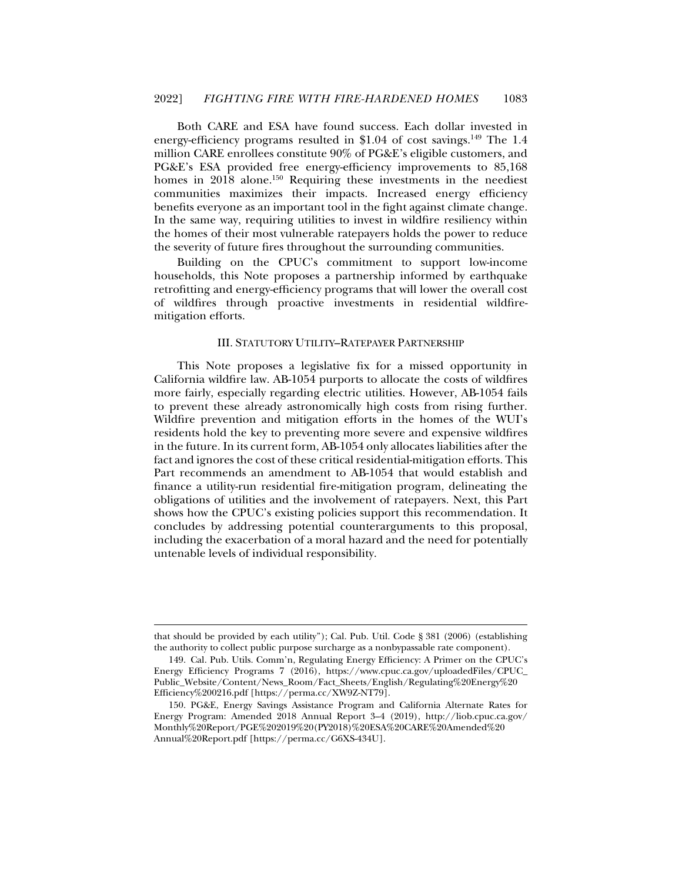Both CARE and ESA have found success. Each dollar invested in energy-efficiency programs resulted in \$1.04 of cost savings.<sup>149</sup> The 1.4 million CARE enrollees constitute 90% of PG&E's eligible customers, and PG&E's ESA provided free energy-efficiency improvements to 85,168 homes in 2018 alone.<sup>150</sup> Requiring these investments in the neediest communities maximizes their impacts. Increased energy efficiency benefits everyone as an important tool in the fight against climate change. In the same way, requiring utilities to invest in wildfire resiliency within the homes of their most vulnerable ratepayers holds the power to reduce the severity of future fires throughout the surrounding communities.

Building on the CPUC's commitment to support low-income households, this Note proposes a partnership informed by earthquake retrofitting and energy-efficiency programs that will lower the overall cost of wildfires through proactive investments in residential wildfiremitigation efforts.

# III. STATUTORY UTILITY–RATEPAYER PARTNERSHIP

This Note proposes a legislative fix for a missed opportunity in California wildfire law. AB-1054 purports to allocate the costs of wildfires more fairly, especially regarding electric utilities. However, AB-1054 fails to prevent these already astronomically high costs from rising further. Wildfire prevention and mitigation efforts in the homes of the WUI's residents hold the key to preventing more severe and expensive wildfires in the future. In its current form, AB-1054 only allocates liabilities after the fact and ignores the cost of these critical residential-mitigation efforts. This Part recommends an amendment to AB-1054 that would establish and finance a utility-run residential fire-mitigation program, delineating the obligations of utilities and the involvement of ratepayers. Next, this Part shows how the CPUC's existing policies support this recommendation. It concludes by addressing potential counterarguments to this proposal, including the exacerbation of a moral hazard and the need for potentially untenable levels of individual responsibility.

that should be provided by each utility"); Cal. Pub. Util. Code § 381 (2006) (establishing the authority to collect public purpose surcharge as a nonbypassable rate component).

 <sup>149.</sup> Cal. Pub. Utils. Comm'n, Regulating Energy Efficiency: A Primer on the CPUC's Energy Efficiency Programs 7 (2016), https://www.cpuc.ca.gov/uploadedFiles/CPUC\_ Public\_Website/Content/News\_Room/Fact\_Sheets/English/Regulating%20Energy%20 Efficiency%200216.pdf [https://perma.cc/XW9Z-NT79].

 <sup>150.</sup> PG&E, Energy Savings Assistance Program and California Alternate Rates for Energy Program: Amended 2018 Annual Report 3–4 (2019), http://liob.cpuc.ca.gov/ Monthly%20Report/PGE%202019%20(PY2018)%20ESA%20CARE%20Amended%20 Annual%20Report.pdf [https://perma.cc/G6XS-434U].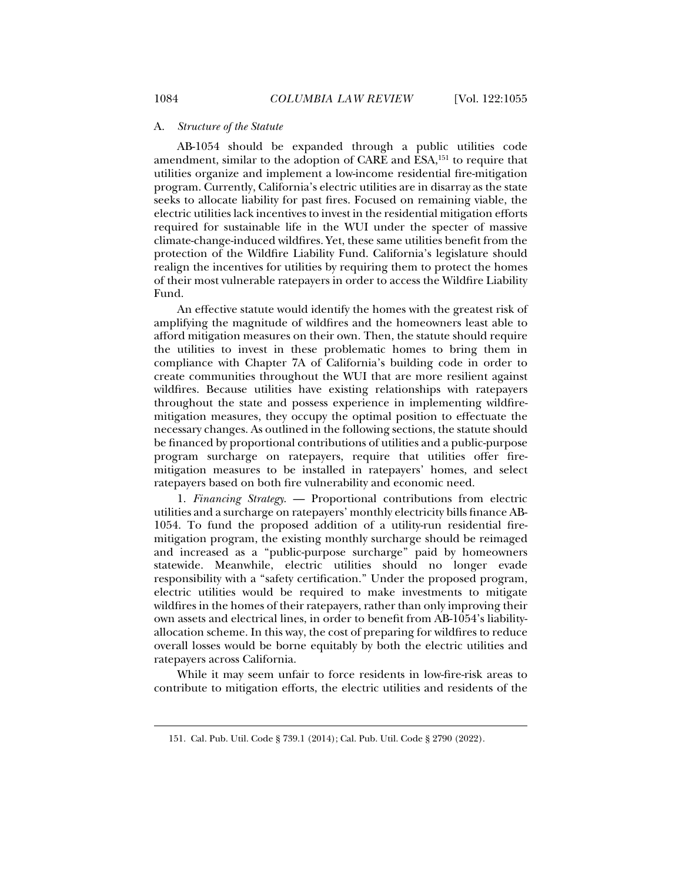#### A. *Structure of the Statute*

AB-1054 should be expanded through a public utilities code amendment, similar to the adoption of CARE and ESA,151 to require that utilities organize and implement a low-income residential fire-mitigation program. Currently, California's electric utilities are in disarray as the state seeks to allocate liability for past fires. Focused on remaining viable, the electric utilities lack incentives to invest in the residential mitigation efforts required for sustainable life in the WUI under the specter of massive climate-change-induced wildfires. Yet, these same utilities benefit from the protection of the Wildfire Liability Fund. California's legislature should realign the incentives for utilities by requiring them to protect the homes of their most vulnerable ratepayers in order to access the Wildfire Liability Fund.

An effective statute would identify the homes with the greatest risk of amplifying the magnitude of wildfires and the homeowners least able to afford mitigation measures on their own. Then, the statute should require the utilities to invest in these problematic homes to bring them in compliance with Chapter 7A of California's building code in order to create communities throughout the WUI that are more resilient against wildfires. Because utilities have existing relationships with ratepayers throughout the state and possess experience in implementing wildfiremitigation measures, they occupy the optimal position to effectuate the necessary changes. As outlined in the following sections, the statute should be financed by proportional contributions of utilities and a public-purpose program surcharge on ratepayers, require that utilities offer firemitigation measures to be installed in ratepayers' homes, and select ratepayers based on both fire vulnerability and economic need.

1. *Financing Strategy*. — Proportional contributions from electric utilities and a surcharge on ratepayers' monthly electricity bills finance AB-1054. To fund the proposed addition of a utility-run residential firemitigation program, the existing monthly surcharge should be reimaged and increased as a "public-purpose surcharge" paid by homeowners statewide. Meanwhile, electric utilities should no longer evade responsibility with a "safety certification." Under the proposed program, electric utilities would be required to make investments to mitigate wildfires in the homes of their ratepayers, rather than only improving their own assets and electrical lines, in order to benefit from AB-1054's liabilityallocation scheme. In this way, the cost of preparing for wildfires to reduce overall losses would be borne equitably by both the electric utilities and ratepayers across California.

While it may seem unfair to force residents in low-fire-risk areas to contribute to mitigation efforts, the electric utilities and residents of the

 <sup>151.</sup> Cal. Pub. Util. Code § 739.1 (2014); Cal. Pub. Util. Code § 2790 (2022).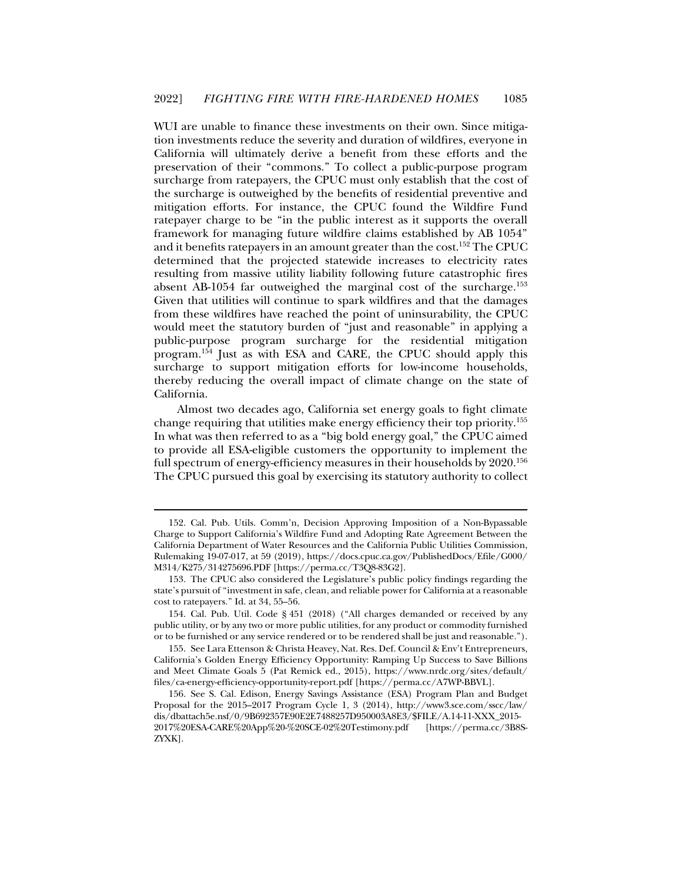WUI are unable to finance these investments on their own. Since mitigation investments reduce the severity and duration of wildfires, everyone in California will ultimately derive a benefit from these efforts and the preservation of their "commons." To collect a public-purpose program surcharge from ratepayers, the CPUC must only establish that the cost of the surcharge is outweighed by the benefits of residential preventive and mitigation efforts. For instance, the CPUC found the Wildfire Fund ratepayer charge to be "in the public interest as it supports the overall framework for managing future wildfire claims established by AB 1054" and it benefits ratepayers in an amount greater than the cost.152 The CPUC determined that the projected statewide increases to electricity rates resulting from massive utility liability following future catastrophic fires absent AB-1054 far outweighed the marginal cost of the surcharge.153 Given that utilities will continue to spark wildfires and that the damages from these wildfires have reached the point of uninsurability, the CPUC would meet the statutory burden of "just and reasonable" in applying a public-purpose program surcharge for the residential mitigation program.154 Just as with ESA and CARE, the CPUC should apply this surcharge to support mitigation efforts for low-income households, thereby reducing the overall impact of climate change on the state of California.

Almost two decades ago, California set energy goals to fight climate change requiring that utilities make energy efficiency their top priority.155 In what was then referred to as a "big bold energy goal," the CPUC aimed to provide all ESA-eligible customers the opportunity to implement the full spectrum of energy-efficiency measures in their households by 2020.<sup>156</sup> The CPUC pursued this goal by exercising its statutory authority to collect

 <sup>152.</sup> Cal. Pub. Utils. Comm'n, Decision Approving Imposition of a Non-Bypassable Charge to Support California's Wildfire Fund and Adopting Rate Agreement Between the California Department of Water Resources and the California Public Utilities Commission, Rulemaking 19-07-017, at 59 (2019), https://docs.cpuc.ca.gov/PublishedDocs/Efile/G000/ M314/K275/314275696.PDF [https://perma.cc/T3Q8-83G2].

 <sup>153.</sup> The CPUC also considered the Legislature's public policy findings regarding the state's pursuit of "investment in safe, clean, and reliable power for California at a reasonable cost to ratepayers." Id. at 34, 55–56.

 <sup>154.</sup> Cal. Pub. Util. Code § 451 (2018) ("All charges demanded or received by any public utility, or by any two or more public utilities, for any product or commodity furnished or to be furnished or any service rendered or to be rendered shall be just and reasonable.").

 <sup>155.</sup> See Lara Ettenson & Christa Heavey, Nat. Res. Def. Council & Env't Entrepreneurs, California's Golden Energy Efficiency Opportunity: Ramping Up Success to Save Billions and Meet Climate Goals 5 (Pat Remick ed., 2015), https://www.nrdc.org/sites/default/ files/ca-energy-efficiency-opportunity-report.pdf [https://perma.cc/A7WP-BBVL].

 <sup>156.</sup> See S. Cal. Edison, Energy Savings Assistance (ESA) Program Plan and Budget Proposal for the 2015–2017 Program Cycle 1, 3 (2014), http://www3.sce.com/sscc/law/ dis/dbattach5e.nsf/0/9B692357E90E2E7488257D950003A8E3/\$FILE/A.14-11-XXX\_2015- 2017%20ESA-CARE%20App%20-%20SCE-02%20Testimony.pdf [https://perma.cc/3B8S-ZYXK].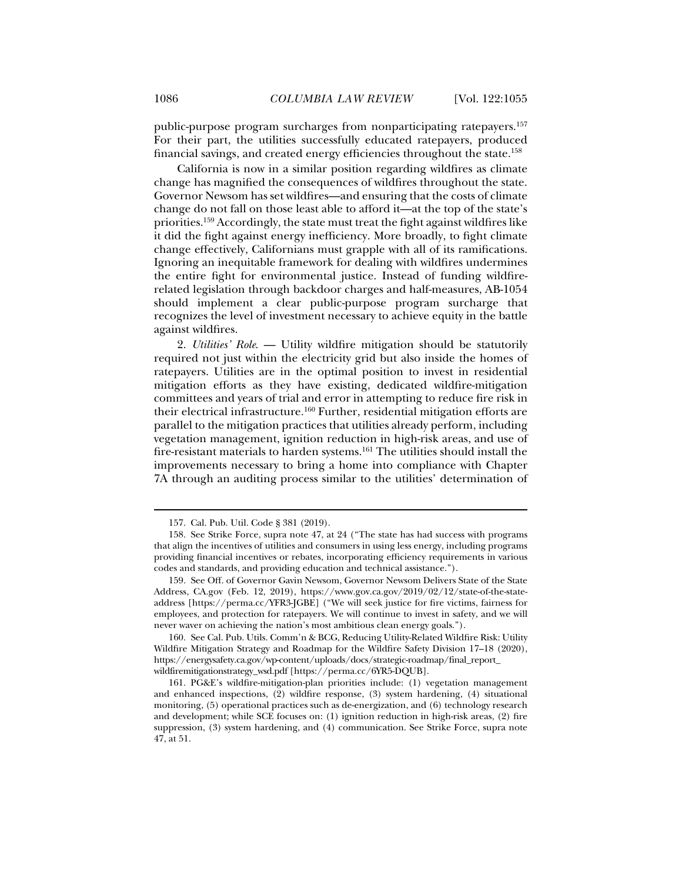public-purpose program surcharges from nonparticipating ratepayers.157 For their part, the utilities successfully educated ratepayers, produced financial savings, and created energy efficiencies throughout the state.158

California is now in a similar position regarding wildfires as climate change has magnified the consequences of wildfires throughout the state. Governor Newsom has set wildfires—and ensuring that the costs of climate change do not fall on those least able to afford it—at the top of the state's priorities.159 Accordingly, the state must treat the fight against wildfires like it did the fight against energy inefficiency. More broadly, to fight climate change effectively, Californians must grapple with all of its ramifications. Ignoring an inequitable framework for dealing with wildfires undermines the entire fight for environmental justice. Instead of funding wildfirerelated legislation through backdoor charges and half-measures, AB-1054 should implement a clear public-purpose program surcharge that recognizes the level of investment necessary to achieve equity in the battle against wildfires.

2. *Utilities' Role*. — Utility wildfire mitigation should be statutorily required not just within the electricity grid but also inside the homes of ratepayers. Utilities are in the optimal position to invest in residential mitigation efforts as they have existing, dedicated wildfire-mitigation committees and years of trial and error in attempting to reduce fire risk in their electrical infrastructure.160 Further, residential mitigation efforts are parallel to the mitigation practices that utilities already perform, including vegetation management, ignition reduction in high-risk areas, and use of fire-resistant materials to harden systems.161 The utilities should install the improvements necessary to bring a home into compliance with Chapter 7A through an auditing process similar to the utilities' determination of

 <sup>157.</sup> Cal. Pub. Util. Code § 381 (2019).

 <sup>158.</sup> See Strike Force, supra note 47, at 24 ("The state has had success with programs that align the incentives of utilities and consumers in using less energy, including programs providing financial incentives or rebates, incorporating efficiency requirements in various codes and standards, and providing education and technical assistance.").

 <sup>159.</sup> See Off. of Governor Gavin Newsom, Governor Newsom Delivers State of the State Address, CA.gov (Feb. 12, 2019), https://www.gov.ca.gov/2019/02/12/state-of-the-stateaddress [https://perma.cc/YFR3-JGBE] ("We will seek justice for fire victims, fairness for employees, and protection for ratepayers. We will continue to invest in safety, and we will never waver on achieving the nation's most ambitious clean energy goals.").

 <sup>160.</sup> See Cal. Pub. Utils. Comm'n & BCG, Reducing Utility-Related Wildfire Risk: Utility Wildfire Mitigation Strategy and Roadmap for the Wildfire Safety Division 17–18 (2020), https://energysafety.ca.gov/wp-content/uploads/docs/strategic-roadmap/final\_report\_ wildfiremitigationstrategy\_wsd.pdf [https://perma.cc/6YR5-DQUB].

 <sup>161.</sup> PG&E's wildfire-mitigation-plan priorities include: (1) vegetation management and enhanced inspections, (2) wildfire response, (3) system hardening, (4) situational monitoring, (5) operational practices such as de-energization, and (6) technology research and development; while SCE focuses on: (1) ignition reduction in high-risk areas, (2) fire suppression, (3) system hardening, and (4) communication. See Strike Force, supra note 47, at 51.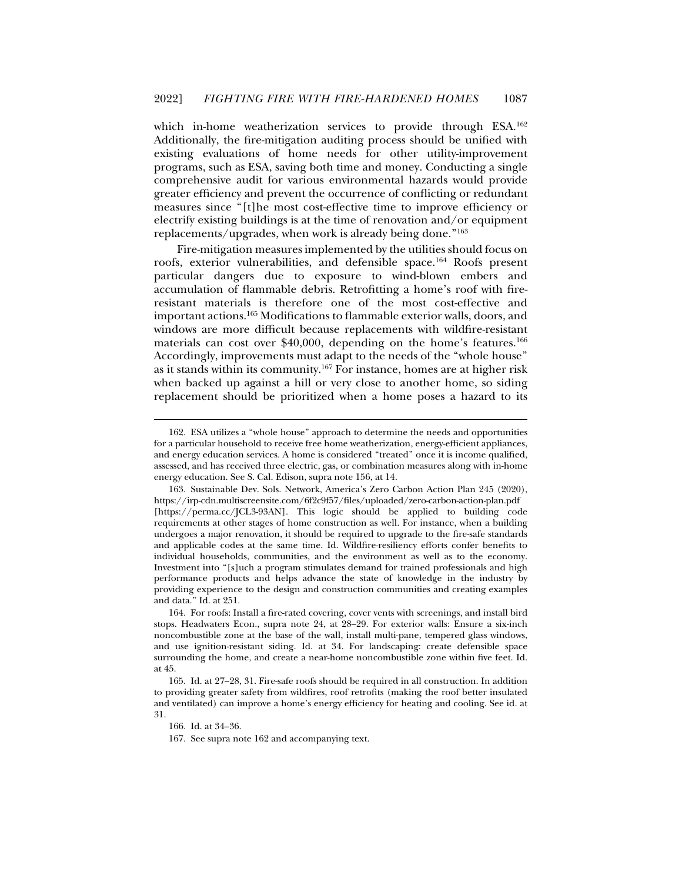which in-home weatherization services to provide through ESA.162 Additionally, the fire-mitigation auditing process should be unified with existing evaluations of home needs for other utility-improvement programs, such as ESA, saving both time and money. Conducting a single comprehensive audit for various environmental hazards would provide greater efficiency and prevent the occurrence of conflicting or redundant measures since "[t]he most cost-effective time to improve efficiency or electrify existing buildings is at the time of renovation and/or equipment replacements/upgrades, when work is already being done."163

Fire-mitigation measures implemented by the utilities should focus on roofs, exterior vulnerabilities, and defensible space.<sup>164</sup> Roofs present particular dangers due to exposure to wind-blown embers and accumulation of flammable debris. Retrofitting a home's roof with fireresistant materials is therefore one of the most cost-effective and important actions.165 Modifications to flammable exterior walls, doors, and windows are more difficult because replacements with wildfire-resistant materials can cost over \$40,000, depending on the home's features.166 Accordingly, improvements must adapt to the needs of the "whole house" as it stands within its community.167 For instance, homes are at higher risk when backed up against a hill or very close to another home, so siding replacement should be prioritized when a home poses a hazard to its

 <sup>162.</sup> ESA utilizes a "whole house" approach to determine the needs and opportunities for a particular household to receive free home weatherization, energy-efficient appliances, and energy education services. A home is considered "treated" once it is income qualified, assessed, and has received three electric, gas, or combination measures along with in-home energy education. See S. Cal. Edison, supra note 156, at 14.

 <sup>163.</sup> Sustainable Dev. Sols. Network, America's Zero Carbon Action Plan 245 (2020), https://irp-cdn.multiscreensite.com/6f2c9f57/files/uploaded/zero-carbon-action-plan.pdf [https://perma.cc/JCL3-93AN]. This logic should be applied to building code requirements at other stages of home construction as well. For instance, when a building undergoes a major renovation, it should be required to upgrade to the fire-safe standards and applicable codes at the same time. Id. Wildfire-resiliency efforts confer benefits to individual households, communities, and the environment as well as to the economy. Investment into "[s]uch a program stimulates demand for trained professionals and high performance products and helps advance the state of knowledge in the industry by providing experience to the design and construction communities and creating examples and data." Id. at 251.

 <sup>164.</sup> For roofs: Install a fire-rated covering, cover vents with screenings, and install bird stops. Headwaters Econ., supra note 24, at 28–29. For exterior walls: Ensure a six-inch noncombustible zone at the base of the wall, install multi-pane, tempered glass windows, and use ignition-resistant siding. Id. at 34. For landscaping: create defensible space surrounding the home, and create a near-home noncombustible zone within five feet. Id. at 45.

 <sup>165.</sup> Id. at 27–28, 31. Fire-safe roofs should be required in all construction. In addition to providing greater safety from wildfires, roof retrofits (making the roof better insulated and ventilated) can improve a home's energy efficiency for heating and cooling. See id. at 31.

 <sup>166.</sup> Id. at 34–36.

 <sup>167.</sup> See supra note 162 and accompanying text.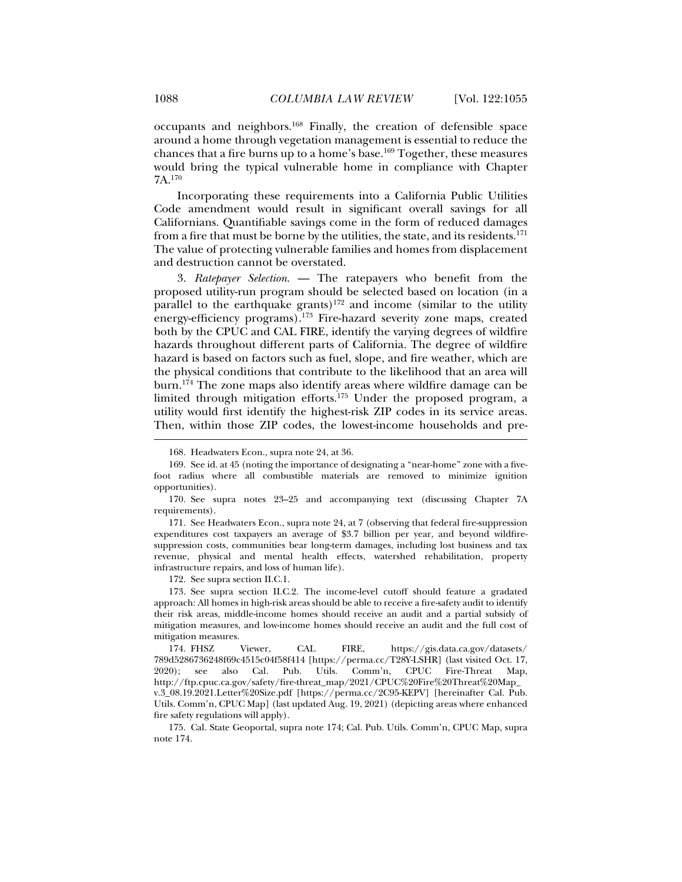occupants and neighbors.168 Finally, the creation of defensible space around a home through vegetation management is essential to reduce the chances that a fire burns up to a home's base.169 Together, these measures would bring the typical vulnerable home in compliance with Chapter 7A.170

Incorporating these requirements into a California Public Utilities Code amendment would result in significant overall savings for all Californians. Quantifiable savings come in the form of reduced damages from a fire that must be borne by the utilities, the state, and its residents. $171$ The value of protecting vulnerable families and homes from displacement and destruction cannot be overstated.

3. *Ratepayer Selection*. — The ratepayers who benefit from the proposed utility-run program should be selected based on location (in a parallel to the earthquake grants)<sup>172</sup> and income (similar to the utility energy-efficiency programs).<sup>173</sup> Fire-hazard severity zone maps, created both by the CPUC and CAL FIRE, identify the varying degrees of wildfire hazards throughout different parts of California. The degree of wildfire hazard is based on factors such as fuel, slope, and fire weather, which are the physical conditions that contribute to the likelihood that an area will burn.174 The zone maps also identify areas where wildfire damage can be limited through mitigation efforts.<sup>175</sup> Under the proposed program, a utility would first identify the highest-risk ZIP codes in its service areas. Then, within those ZIP codes, the lowest-income households and pre-

 171. See Headwaters Econ., supra note 24, at 7 (observing that federal fire-suppression expenditures cost taxpayers an average of \$3.7 billion per year, and beyond wildfiresuppression costs, communities bear long-term damages, including lost business and tax revenue, physical and mental health effects, watershed rehabilitation, property infrastructure repairs, and loss of human life).

172. See supra section II.C.1.

 173. See supra section II.C.2. The income-level cutoff should feature a gradated approach: All homes in high-risk areas should be able to receive a fire-safety audit to identify their risk areas, middle-income homes should receive an audit and a partial subsidy of mitigation measures, and low-income homes should receive an audit and the full cost of mitigation measures.

 174. FHSZ Viewer, CAL FIRE, https://gis.data.ca.gov/datasets/ 789d5286736248f69c4515c04f58f414 [https://perma.cc/T28Y-LSHR] (last visited Oct. 17, 2020); see also Cal. Pub. Utils. Comm'n, CPUC Fire-Threat Map, http://ftp.cpuc.ca.gov/safety/fire-threat\_map/2021/CPUC%20Fire%20Threat%20Map\_ v.3\_08.19.2021.Letter%20Size.pdf [https://perma.cc/2C95-KEPV] [hereinafter Cal. Pub. Utils. Comm'n, CPUC Map] (last updated Aug. 19, 2021) (depicting areas where enhanced fire safety regulations will apply).

 175. Cal. State Geoportal, supra note 174; Cal. Pub. Utils. Comm'n, CPUC Map, supra note 174.

 <sup>168.</sup> Headwaters Econ., supra note 24, at 36.

 <sup>169.</sup> See id. at 45 (noting the importance of designating a "near-home" zone with a fivefoot radius where all combustible materials are removed to minimize ignition opportunities).

 <sup>170.</sup> See supra notes 23–25 and accompanying text (discussing Chapter 7A requirements).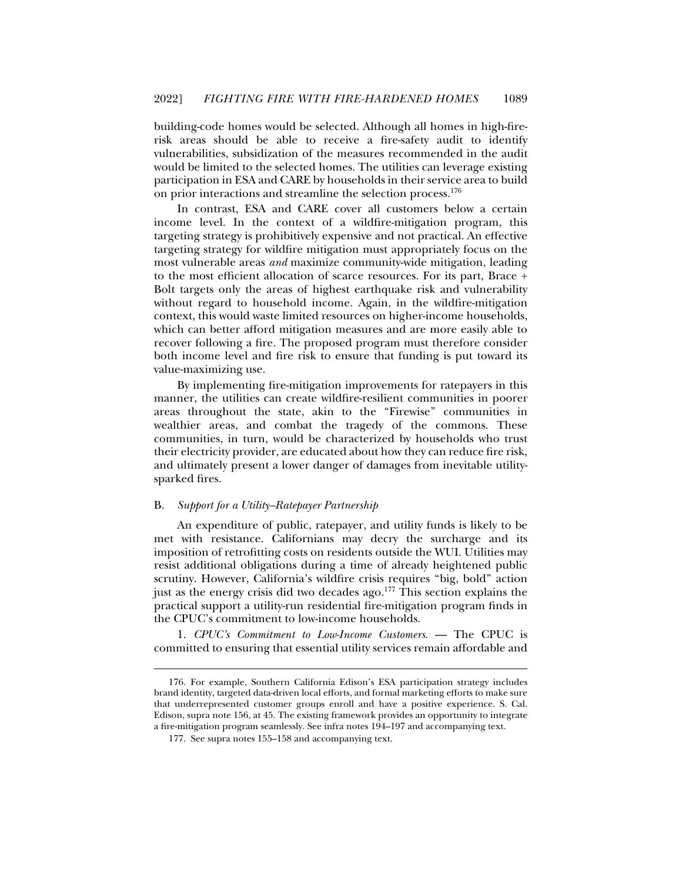building-code homes would be selected. Although all homes in high-firerisk areas should be able to receive a fire-safety audit to identify vulnerabilities, subsidization of the measures recommended in the audit would be limited to the selected homes. The utilities can leverage existing participation in ESA and CARE by households in their service area to build on prior interactions and streamline the selection process.<sup>176</sup>

In contrast, ESA and CARE cover all customers below a certain income level. In the context of a wildfire-mitigation program, this targeting strategy is prohibitively expensive and not practical. An effective targeting strategy for wildfire mitigation must appropriately focus on the most vulnerable areas *and* maximize community-wide mitigation, leading to the most efficient allocation of scarce resources. For its part, Brace + Bolt targets only the areas of highest earthquake risk and vulnerability without regard to household income. Again, in the wildfire-mitigation context, this would waste limited resources on higher-income households, which can better afford mitigation measures and are more easily able to recover following a fire. The proposed program must therefore consider both income level and fire risk to ensure that funding is put toward its value-maximizing use.

By implementing fire-mitigation improvements for ratepayers in this manner, the utilities can create wildfire-resilient communities in poorer areas throughout the state, akin to the "Firewise" communities in wealthier areas, and combat the tragedy of the commons. These communities, in turn, would be characterized by households who trust their electricity provider, are educated about how they can reduce fire risk, and ultimately present a lower danger of damages from inevitable utilitysparked fires.

#### B. *Support for a Utility–Ratepayer Partnership*

An expenditure of public, ratepayer, and utility funds is likely to be met with resistance. Californians may decry the surcharge and its imposition of retrofitting costs on residents outside the WUI. Utilities may resist additional obligations during a time of already heightened public scrutiny. However, California's wildfire crisis requires "big, bold" action just as the energy crisis did two decades ago.177 This section explains the practical support a utility-run residential fire-mitigation program finds in the CPUC's commitment to low-income households.

1. *CPUC's Commitment to Low-Income Customers*. — The CPUC is committed to ensuring that essential utility services remain affordable and

 <sup>176.</sup> For example, Southern California Edison's ESA participation strategy includes brand identity, targeted data-driven local efforts, and formal marketing efforts to make sure that underrepresented customer groups enroll and have a positive experience. S. Cal. Edison, supra note 156, at 45. The existing framework provides an opportunity to integrate a fire-mitigation program seamlessly. See infra notes 194–197 and accompanying text.

 <sup>177.</sup> See supra notes 155–158 and accompanying text.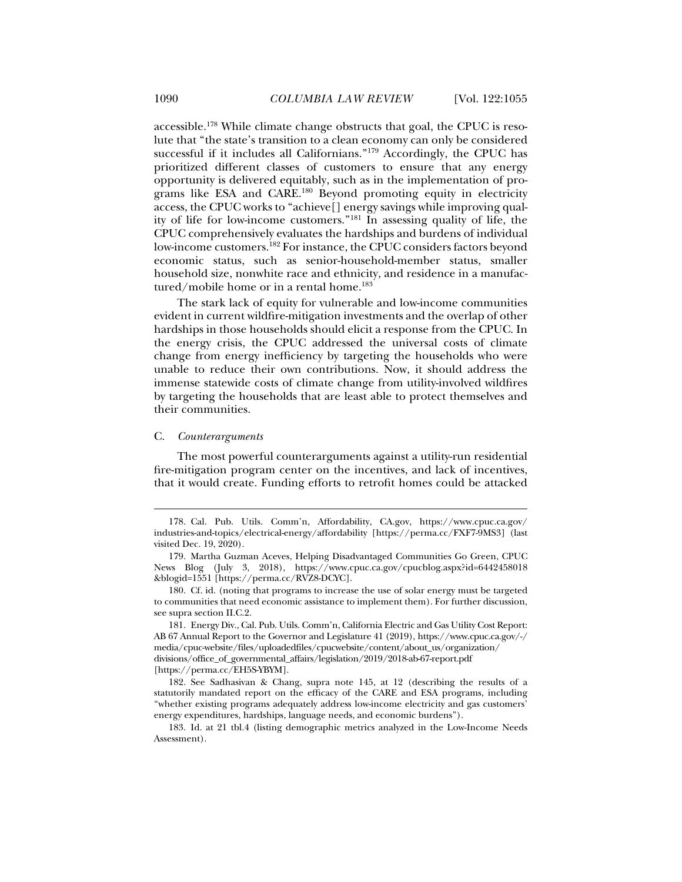accessible.178 While climate change obstructs that goal, the CPUC is resolute that "the state's transition to a clean economy can only be considered successful if it includes all Californians."179 Accordingly, the CPUC has prioritized different classes of customers to ensure that any energy opportunity is delivered equitably, such as in the implementation of programs like ESA and CARE.180 Beyond promoting equity in electricity access, the CPUC works to "achieve[] energy savings while improving quality of life for low-income customers."181 In assessing quality of life, the CPUC comprehensively evaluates the hardships and burdens of individual low-income customers.182 For instance, the CPUC considers factors beyond economic status, such as senior-household-member status, smaller household size, nonwhite race and ethnicity, and residence in a manufactured/mobile home or in a rental home.<sup>183</sup>

The stark lack of equity for vulnerable and low-income communities evident in current wildfire-mitigation investments and the overlap of other hardships in those households should elicit a response from the CPUC. In the energy crisis, the CPUC addressed the universal costs of climate change from energy inefficiency by targeting the households who were unable to reduce their own contributions. Now, it should address the immense statewide costs of climate change from utility-involved wildfires by targeting the households that are least able to protect themselves and their communities.

#### C. *Counterarguments*

j

The most powerful counterarguments against a utility-run residential fire-mitigation program center on the incentives, and lack of incentives, that it would create. Funding efforts to retrofit homes could be attacked

 <sup>178.</sup> Cal. Pub. Utils. Comm'n, Affordability, CA.gov, https://www.cpuc.ca.gov/ industries-and-topics/electrical-energy/affordability [https://perma.cc/FXF7-9MS3] (last visited Dec. 19, 2020).

 <sup>179.</sup> Martha Guzman Aceves, Helping Disadvantaged Communities Go Green, CPUC News Blog (July 3, 2018), https://www.cpuc.ca.gov/cpucblog.aspx?id=6442458018 &blogid=1551 [https://perma.cc/RVZ8-DCYC].

 <sup>180.</sup> Cf. id. (noting that programs to increase the use of solar energy must be targeted to communities that need economic assistance to implement them). For further discussion, see supra section II.C.2.

 <sup>181.</sup> Energy Div., Cal. Pub. Utils. Comm'n, California Electric and Gas Utility Cost Report: AB 67 Annual Report to the Governor and Legislature 41 (2019), https://www.cpuc.ca.gov/-/ media/cpuc-website/files/uploadedfiles/cpucwebsite/content/about\_us/organization/ divisions/office\_of\_governmental\_affairs/legislation/2019/2018-ab-67-report.pdf [https://perma.cc/EH5S-YBYM].

 <sup>182.</sup> See Sadhasivan & Chang, supra note 145, at 12 (describing the results of a statutorily mandated report on the efficacy of the CARE and ESA programs, including "whether existing programs adequately address low-income electricity and gas customers' energy expenditures, hardships, language needs, and economic burdens").

 <sup>183.</sup> Id. at 21 tbl.4 (listing demographic metrics analyzed in the Low-Income Needs Assessment).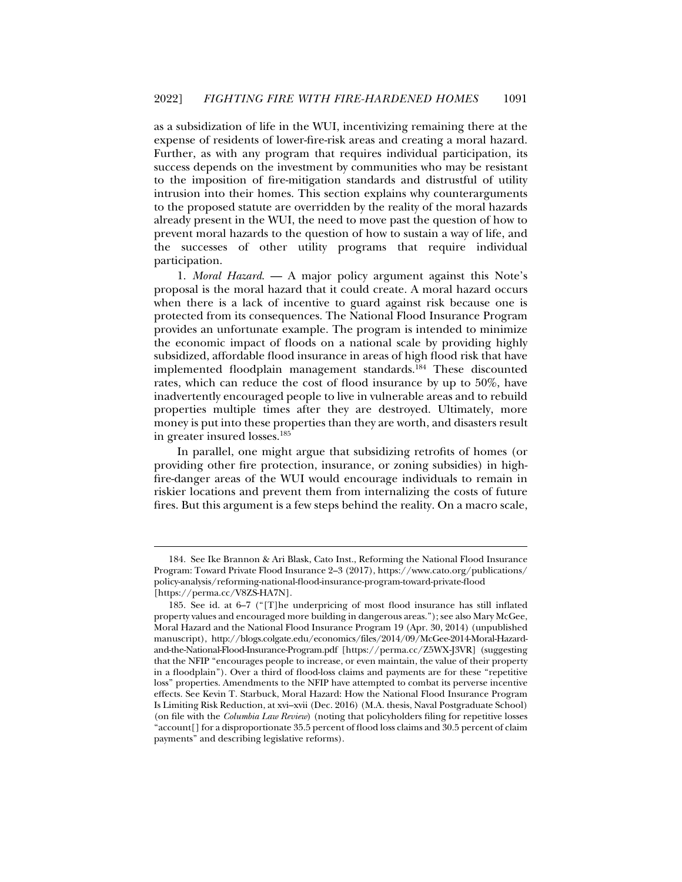as a subsidization of life in the WUI, incentivizing remaining there at the expense of residents of lower-fire-risk areas and creating a moral hazard. Further, as with any program that requires individual participation, its success depends on the investment by communities who may be resistant to the imposition of fire-mitigation standards and distrustful of utility intrusion into their homes. This section explains why counterarguments to the proposed statute are overridden by the reality of the moral hazards already present in the WUI, the need to move past the question of how to prevent moral hazards to the question of how to sustain a way of life, and the successes of other utility programs that require individual participation.

1. *Moral Hazard*. — A major policy argument against this Note's proposal is the moral hazard that it could create. A moral hazard occurs when there is a lack of incentive to guard against risk because one is protected from its consequences. The National Flood Insurance Program provides an unfortunate example. The program is intended to minimize the economic impact of floods on a national scale by providing highly subsidized, affordable flood insurance in areas of high flood risk that have implemented floodplain management standards.<sup>184</sup> These discounted rates, which can reduce the cost of flood insurance by up to 50%, have inadvertently encouraged people to live in vulnerable areas and to rebuild properties multiple times after they are destroyed. Ultimately, more money is put into these properties than they are worth, and disasters result in greater insured losses.<sup>185</sup>

In parallel, one might argue that subsidizing retrofits of homes (or providing other fire protection, insurance, or zoning subsidies) in highfire-danger areas of the WUI would encourage individuals to remain in riskier locations and prevent them from internalizing the costs of future fires. But this argument is a few steps behind the reality. On a macro scale,

 <sup>184.</sup> See Ike Brannon & Ari Blask, Cato Inst., Reforming the National Flood Insurance Program: Toward Private Flood Insurance 2–3 (2017), https://www.cato.org/publications/ policy-analysis/reforming-national-flood-insurance-program-toward-private-flood [https://perma.cc/V8ZS-HA7N].

 <sup>185.</sup> See id. at 6–7 ("[T]he underpricing of most flood insurance has still inflated property values and encouraged more building in dangerous areas."); see also Mary McGee, Moral Hazard and the National Flood Insurance Program 19 (Apr. 30, 2014) (unpublished manuscript), http://blogs.colgate.edu/economics/files/2014/09/McGee-2014-Moral-Hazardand-the-National-Flood-Insurance-Program.pdf [https://perma.cc/Z5WX-J3VR] (suggesting that the NFIP "encourages people to increase, or even maintain, the value of their property in a floodplain"). Over a third of flood-loss claims and payments are for these "repetitive loss" properties. Amendments to the NFIP have attempted to combat its perverse incentive effects. See Kevin T. Starbuck, Moral Hazard: How the National Flood Insurance Program Is Limiting Risk Reduction, at xvi–xvii (Dec. 2016) (M.A. thesis, Naval Postgraduate School) (on file with the *Columbia Law Review*) (noting that policyholders filing for repetitive losses "account[] for a disproportionate 35.5 percent of flood loss claims and 30.5 percent of claim payments" and describing legislative reforms).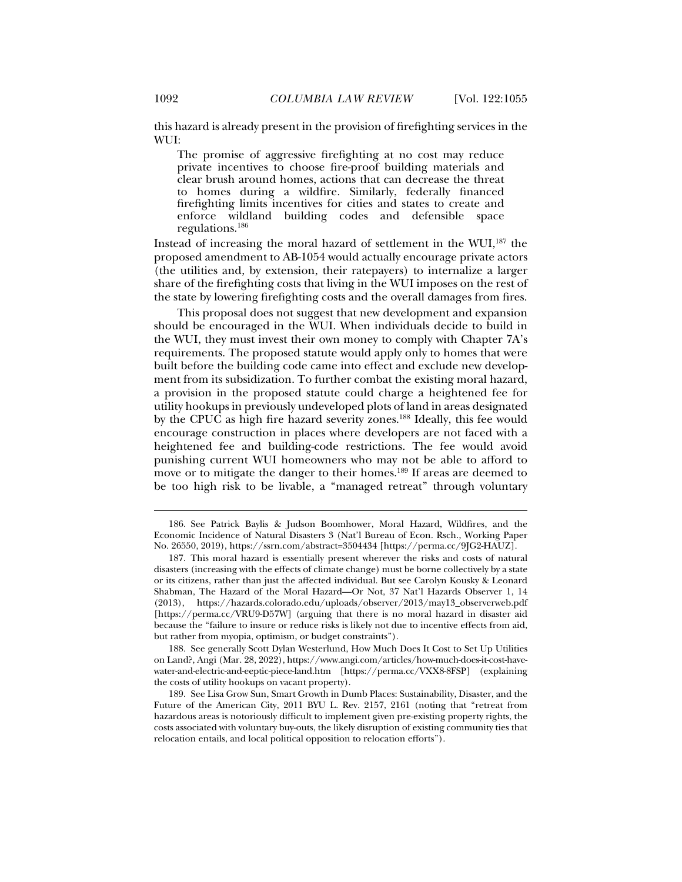this hazard is already present in the provision of firefighting services in the WUI:

The promise of aggressive firefighting at no cost may reduce private incentives to choose fire-proof building materials and clear brush around homes, actions that can decrease the threat to homes during a wildfire. Similarly, federally financed firefighting limits incentives for cities and states to create and enforce wildland building codes and defensible space regulations.186

Instead of increasing the moral hazard of settlement in the WUI, $^{187}$  the proposed amendment to AB-1054 would actually encourage private actors (the utilities and, by extension, their ratepayers) to internalize a larger share of the firefighting costs that living in the WUI imposes on the rest of the state by lowering firefighting costs and the overall damages from fires.

This proposal does not suggest that new development and expansion should be encouraged in the WUI. When individuals decide to build in the WUI, they must invest their own money to comply with Chapter 7A's requirements. The proposed statute would apply only to homes that were built before the building code came into effect and exclude new development from its subsidization. To further combat the existing moral hazard, a provision in the proposed statute could charge a heightened fee for utility hookups in previously undeveloped plots of land in areas designated by the CPUC as high fire hazard severity zones.188 Ideally, this fee would encourage construction in places where developers are not faced with a heightened fee and building-code restrictions. The fee would avoid punishing current WUI homeowners who may not be able to afford to move or to mitigate the danger to their homes.<sup>189</sup> If areas are deemed to be too high risk to be livable, a "managed retreat" through voluntary

 <sup>186.</sup> See Patrick Baylis & Judson Boomhower, Moral Hazard, Wildfires, and the Economic Incidence of Natural Disasters 3 (Nat'l Bureau of Econ. Rsch., Working Paper No. 26550, 2019), https://ssrn.com/abstract=3504434 [https://perma.cc/9JG2-HAUZ].

 <sup>187.</sup> This moral hazard is essentially present wherever the risks and costs of natural disasters (increasing with the effects of climate change) must be borne collectively by a state or its citizens, rather than just the affected individual. But see Carolyn Kousky & Leonard Shabman, The Hazard of the Moral Hazard—Or Not, 37 Nat'l Hazards Observer 1, 14 (2013), https://hazards.colorado.edu/uploads/observer/2013/may13\_observerweb.pdf [https://perma.cc/VRU9-D57W] (arguing that there is no moral hazard in disaster aid because the "failure to insure or reduce risks is likely not due to incentive effects from aid, but rather from myopia, optimism, or budget constraints").

 <sup>188.</sup> See generally Scott Dylan Westerlund, How Much Does It Cost to Set Up Utilities on Land?, Angi (Mar. 28, 2022), https://www.angi.com/articles/how-much-does-it-cost-havewater-and-electric-and-eeptic-piece-land.htm [https://perma.cc/VXX8-8FSP] (explaining the costs of utility hookups on vacant property).

 <sup>189.</sup> See Lisa Grow Sun, Smart Growth in Dumb Places: Sustainability, Disaster, and the Future of the American City, 2011 BYU L. Rev. 2157, 2161 (noting that "retreat from hazardous areas is notoriously difficult to implement given pre-existing property rights, the costs associated with voluntary buy-outs, the likely disruption of existing community ties that relocation entails, and local political opposition to relocation efforts").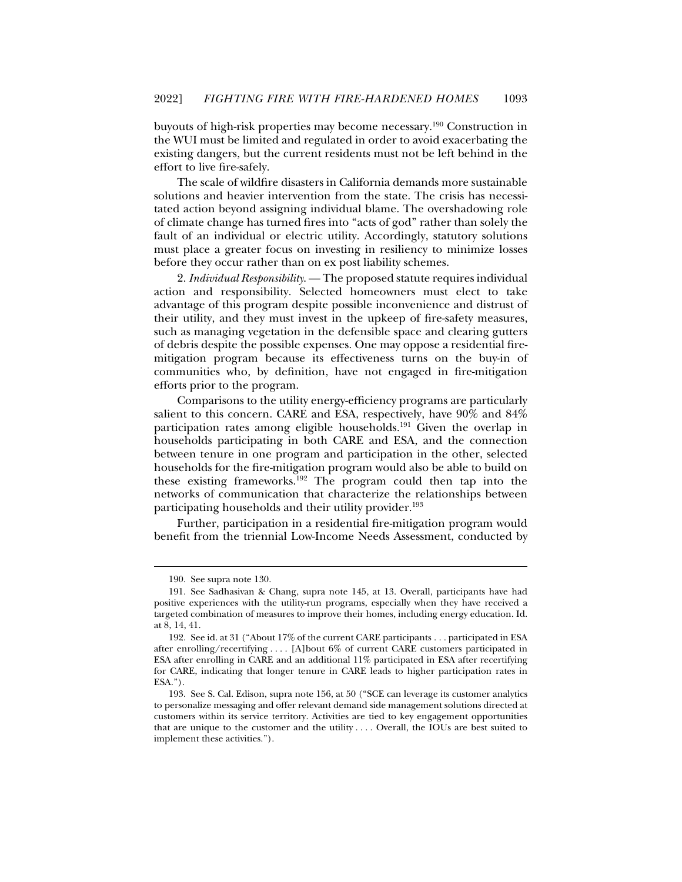buyouts of high-risk properties may become necessary.190 Construction in the WUI must be limited and regulated in order to avoid exacerbating the existing dangers, but the current residents must not be left behind in the effort to live fire-safely.

The scale of wildfire disasters in California demands more sustainable solutions and heavier intervention from the state. The crisis has necessitated action beyond assigning individual blame. The overshadowing role of climate change has turned fires into "acts of god" rather than solely the fault of an individual or electric utility. Accordingly, statutory solutions must place a greater focus on investing in resiliency to minimize losses before they occur rather than on ex post liability schemes.

2. *Individual Responsibility*. — The proposed statute requires individual action and responsibility. Selected homeowners must elect to take advantage of this program despite possible inconvenience and distrust of their utility, and they must invest in the upkeep of fire-safety measures, such as managing vegetation in the defensible space and clearing gutters of debris despite the possible expenses. One may oppose a residential firemitigation program because its effectiveness turns on the buy-in of communities who, by definition, have not engaged in fire-mitigation efforts prior to the program.

Comparisons to the utility energy-efficiency programs are particularly salient to this concern. CARE and ESA, respectively, have 90% and 84% participation rates among eligible households.<sup>191</sup> Given the overlap in households participating in both CARE and ESA, and the connection between tenure in one program and participation in the other, selected households for the fire-mitigation program would also be able to build on these existing frameworks.192 The program could then tap into the networks of communication that characterize the relationships between participating households and their utility provider.<sup>193</sup>

Further, participation in a residential fire-mitigation program would benefit from the triennial Low-Income Needs Assessment, conducted by

 <sup>190.</sup> See supra note 130.

 <sup>191.</sup> See Sadhasivan & Chang, supra note 145, at 13. Overall, participants have had positive experiences with the utility-run programs, especially when they have received a targeted combination of measures to improve their homes, including energy education. Id. at 8, 14, 41.

 <sup>192.</sup> See id. at 31 ("About 17% of the current CARE participants . . . participated in ESA after enrolling/recertifying . . . . [A]bout 6% of current CARE customers participated in ESA after enrolling in CARE and an additional 11% participated in ESA after recertifying for CARE, indicating that longer tenure in CARE leads to higher participation rates in ESA.").

 <sup>193.</sup> See S. Cal. Edison, supra note 156, at 50 ("SCE can leverage its customer analytics to personalize messaging and offer relevant demand side management solutions directed at customers within its service territory. Activities are tied to key engagement opportunities that are unique to the customer and the utility . . . . Overall, the IOUs are best suited to implement these activities.").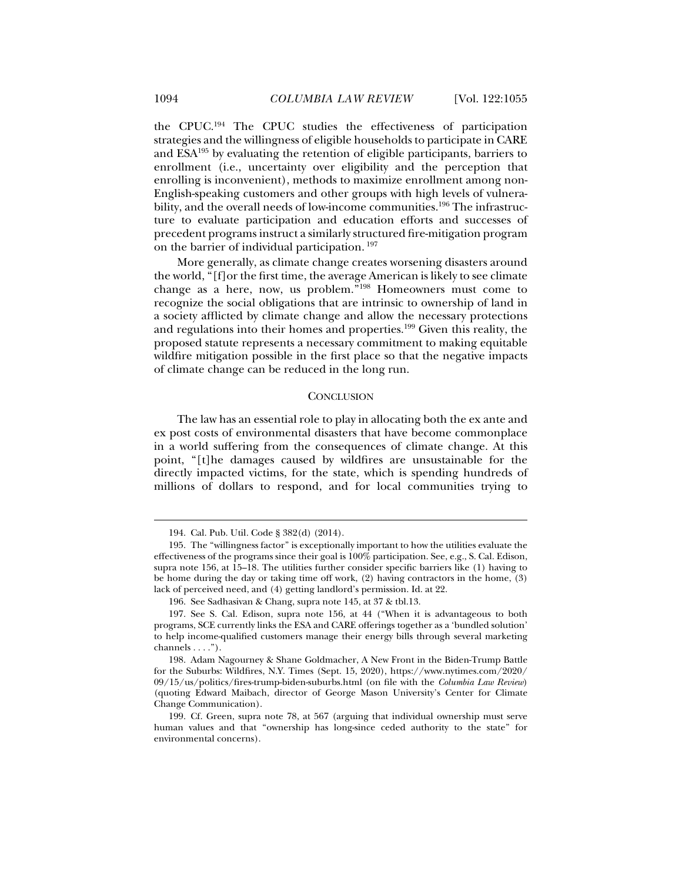the CPUC.194 The CPUC studies the effectiveness of participation strategies and the willingness of eligible households to participate in CARE and ESA195 by evaluating the retention of eligible participants, barriers to enrollment (i.e., uncertainty over eligibility and the perception that enrolling is inconvenient), methods to maximize enrollment among non-English-speaking customers and other groups with high levels of vulnerability, and the overall needs of low-income communities.<sup>196</sup> The infrastructure to evaluate participation and education efforts and successes of precedent programs instruct a similarly structured fire-mitigation program on the barrier of individual participation. 197

More generally, as climate change creates worsening disasters around the world, "[f]or the first time, the average American is likely to see climate change as a here, now, us problem."198 Homeowners must come to recognize the social obligations that are intrinsic to ownership of land in a society afflicted by climate change and allow the necessary protections and regulations into their homes and properties.199 Given this reality, the proposed statute represents a necessary commitment to making equitable wildfire mitigation possible in the first place so that the negative impacts of climate change can be reduced in the long run.

#### **CONCLUSION**

The law has an essential role to play in allocating both the ex ante and ex post costs of environmental disasters that have become commonplace in a world suffering from the consequences of climate change. At this point, "[t]he damages caused by wildfires are unsustainable for the directly impacted victims, for the state, which is spending hundreds of millions of dollars to respond, and for local communities trying to

 <sup>194.</sup> Cal. Pub. Util. Code § 382(d) (2014).

 <sup>195.</sup> The "willingness factor" is exceptionally important to how the utilities evaluate the effectiveness of the programs since their goal is 100% participation. See, e.g., S. Cal. Edison, supra note 156, at 15–18. The utilities further consider specific barriers like (1) having to be home during the day or taking time off work, (2) having contractors in the home, (3) lack of perceived need, and (4) getting landlord's permission. Id. at 22.

 <sup>196.</sup> See Sadhasivan & Chang, supra note 145, at 37 & tbl.13.

 <sup>197.</sup> See S. Cal. Edison, supra note 156, at 44 ("When it is advantageous to both programs, SCE currently links the ESA and CARE offerings together as a 'bundled solution' to help income-qualified customers manage their energy bills through several marketing channels  $\dots$ .").

 <sup>198.</sup> Adam Nagourney & Shane Goldmacher, A New Front in the Biden-Trump Battle for the Suburbs: Wildfires, N.Y. Times (Sept. 15, 2020), https://www.nytimes.com/2020/ 09/15/us/politics/fires-trump-biden-suburbs.html (on file with the *Columbia Law Review*) (quoting Edward Maibach, director of George Mason University's Center for Climate Change Communication).

 <sup>199.</sup> Cf. Green, supra note 78, at 567 (arguing that individual ownership must serve human values and that "ownership has long-since ceded authority to the state" for environmental concerns).